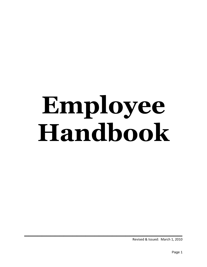# **Employee Handbook**

**\_\_\_\_\_\_\_\_\_\_\_\_\_\_\_\_\_\_\_\_\_\_\_\_\_\_\_\_\_\_\_\_\_\_\_\_**

Revised & Issued: March 1, 2010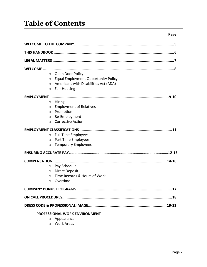# **Table of Contents**

| $\circ$             | Open Door Policy                           |
|---------------------|--------------------------------------------|
| $\circ$             | <b>Equal Employment Opportunity Policy</b> |
| $\circ$             | Americans with Disabilities Act (ADA)      |
| $\circ$             | <b>Fair Housing</b>                        |
|                     | $.9-10$                                    |
| $\circ$             | Hiring                                     |
| $\circ$             | <b>Employment of Relatives</b>             |
| $\circ$             | Promotion                                  |
| O                   | Re-Employment                              |
| $\circ$             | <b>Corrective Action</b>                   |
|                     |                                            |
| $\circ$             | <b>Full Time Employees</b>                 |
| $\circ$             | Part Time Employees                        |
| $\circ$             | <b>Temporary Employees</b>                 |
|                     |                                            |
| <b>COMPENSATION</b> |                                            |
| $\circ$             | Pay Schedule                               |
| $\circ$             | <b>Direct Deposit</b>                      |
| $\circ$             | Time Records & Hours of Work               |
| $\circ$             | Overtime                                   |
|                     |                                            |
|                     |                                            |
|                     |                                            |
|                     | <b>PROFESSIONAL WORK ENVIRONMENT</b>       |

- o Appearance
- o Work Areas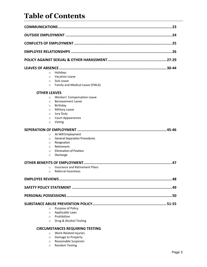# **Table of Contents**

| $\circ$             | Holidays                                                   |
|---------------------|------------------------------------------------------------|
| $\circ$             | Vacation Leave                                             |
| $\circ$             | Sick Leave                                                 |
| $\circ$             | Family and Medical Leave (FMLA)                            |
| <b>OTHER LEAVES</b> |                                                            |
| $\circ$             | Workers' Compensation Leave                                |
| $\circ$             | <b>Bereavement Leave</b>                                   |
| $\circ$             | Birthday                                                   |
| $\circ$             | <b>Military Leave</b>                                      |
| $\circ$             | <b>Jury Duty</b>                                           |
| $\circ$             | <b>Court Appearances</b>                                   |
| $\circ$             | Voting                                                     |
|                     |                                                            |
| $\circ$             | At-Will Employment                                         |
| $\circ$             | <b>General Separation Procedures</b>                       |
| $\circ$             | Resignation                                                |
| $\Omega$            | Retirement                                                 |
| $\Omega$            | <b>Elimination of Position</b>                             |
| $\circ$             | Discharge                                                  |
|                     | 47                                                         |
| $\circ$             | Insurance and Retirement Plans                             |
| $\circ$             | <b>Referral Incentives</b>                                 |
|                     |                                                            |
|                     | SAFETY POLICY STATEMENT ……………………………………………………………………………………49 |
|                     |                                                            |
|                     |                                                            |
|                     |                                                            |
| $\circ$             | Purpose of Policy                                          |
| O                   | Applicable Laws                                            |
| $\circ$             | Prohibition                                                |
| O                   | Drug & Alcohol Testing                                     |
|                     | <b>CIRCUMSTANCES REQUIRING TESTING</b>                     |
| $\circ$             | Work-Related Injuries                                      |

- o Damage to Property
- o Reasonable Suspicion
- o Random Testing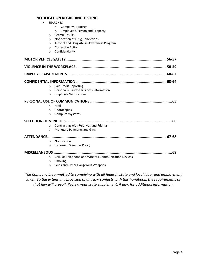#### **NOTIFICATION REGARDING TESTING**

|                   | <b>SEARCHES</b>                                            |
|-------------------|------------------------------------------------------------|
|                   | <b>Company Property</b><br>$\circ$                         |
|                   | Employee's Person and Property<br>$\circ$                  |
| $\Omega$          | Search Results                                             |
| $\circ$           | Notification of Drug Convictions                           |
| $\circ$           | Alcohol and Drug Abuse Awareness Program                   |
| $\Omega$          | <b>Corrective Action</b>                                   |
| $\circ$           | Confidentiality                                            |
|                   | MOTOR VEHICLE SAFETY ……………………………………………………………………………………56-57 |
|                   |                                                            |
|                   |                                                            |
|                   | . 63-64                                                    |
| $\circ$           | <b>Fair Credit Reporting</b>                               |
| $\circ$           | Personal & Private Business Information                    |
| $\Omega$          | <b>Employee Verifications</b>                              |
|                   | . 65                                                       |
| $\circ$           | Mail                                                       |
| $\circ$           | Photocopies                                                |
| $\circ$           | <b>Computer Systems</b>                                    |
|                   | .66                                                        |
| $\Omega$          | Contracting with Relatives and Friends                     |
| $\circ$           | Monetary Payments and Gifts                                |
| <b>ATTENDANCE</b> |                                                            |
| $\Omega$          | Notification                                               |
| $\circ$           | Inclement Weather Policy                                   |
| MISCELLANEOUS     | .69                                                        |
| $\circ$           | Cellular Telephone and Wireless Communication Devices      |
| $\circ$           | Smoking                                                    |
| $\circ$           | Guns and Other Dangerous Weapons                           |

*The Company is committed to complying with all federal, state and local labor and employment laws. To the extent any provision of any law conflicts with this handbook, the requirements of that law will prevail. Review your state supplement, if any, for additional information.*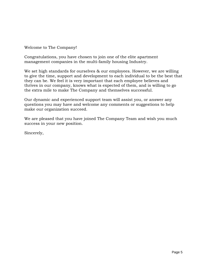Welcome to The Company!

Congratulations, you have chosen to join one of the elite apartment management companies in the multi-family housing Industry.

We set high standards for ourselves & our employees. However, we are willing to give the time, support and development to each individual to be the best that they can be. We feel it is very important that each employee believes and thrives in our company, knows what is expected of them, and is willing to go the extra mile to make The Company and themselves successful.

Our dynamic and experienced support team will assist you, or answer any questions you may have and welcome any comments or suggestions to help make our organization succeed.

We are pleased that you have joined The Company Team and wish you much success in your new position.

Sincerely,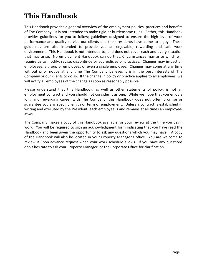# **This Handbook**

This Handbook provides a general overview of the employment policies, practices and benefits of The Company. It is not intended to make rigid or burdensome rules. Rather, this Handbook provides guidelines for you to follow; guidelines designed to ensure the high level of work performance and quality service our clients and their residents have come to enjoy. These guidelines are also intended to provide you an enjoyable, rewarding and safe work environment. This Handbook is not intended to, and does not cover each and every situation that may arise. No employment Handbook can do that. Circumstances may arise which will require us to modify, revise, discontinue or add policies or practices. Changes may impact all employees, a group of employees or even a single employee. Changes may come at any time without prior notice at any time The Company believes it is in the best interests of The Company or our clients to do so. If the change in policy or practice applies to all employees, we will notify all employees of the change as soon as reasonably possible.

Please understand that this Handbook, as well as other statements of policy, is not an employment contract and you should not consider it as one. While we hope that you enjoy a long and rewarding career with The Company, this Handbook does not offer, promise or guarantee you any specific length or term of employment. Unless a contract is established in writing and executed by the President, each employee is and remains at all times an employeeat-will.

The Company makes a copy of this Handbook available for your review at the time you begin work. You will be required to sign an acknowledgment form indicating that you have read the Handbook and been given the opportunity to ask any questions which you may have. A copy of the Handbook will also be located in your Property Manager's office. You are welcome to review it upon advance request when your work schedule allows. If you have any questions don't hesitate to ask your Property Manager, or the Corporate Office for clarification.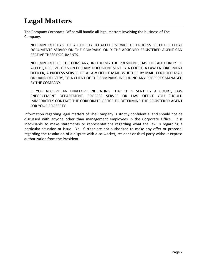# **Legal Matters**

The Company Corporate Office will handle all legal matters involving the business of The Company.

NO EMPLOYEE HAS THE AUTHORITY TO ACCEPT SERVICE OF PROCESS OR OTHER LEGAL DOCUMENTS SERVED ON THE COMPANY, ONLY THE ASSIGNED REGISTERED AGENT CAN RECEIVE THESE DOCUMENTS.

NO EMPLOYEE OF THE COMPANY, INCLUDING THE PRESIDENT, HAS THE AUTHORITY TO ACCEPT, RECEIVE, OR SIGN FOR ANY DOCUMENT SENT BY A COURT, A LAW ENFORCEMENT OFFICER, A PROCESS SERVER OR A LAW OFFICE MAIL, WHETHER BY MAIL, CERTIFIED MAIL OR HAND DELIVERY, TO A CLIENT OF THE COMPANY, INCLUDING ANY PROPERTY MANAGED BY THE COMPANY.

IF YOU RECEIVE AN ENVELOPE INDICATING THAT IT IS SENT BY A COURT, LAW ENFORCEMENT DEPARTMENT, PROCESS SERVER OR LAW OFFICE YOU SHOULD IMMEDIATELY CONTACT THE CORPORATE OFFICE TO DETERMINE THE REGISTERED AGENT FOR YOUR PROPERTY.

Information regarding legal matters of The Company is strictly confidential and should not be discussed with anyone other than management employees in the Corporate Office. It is inadvisable to make statements or representations regarding what the law is regarding a particular situation or issue. You further are not authorized to make any offer or proposal regarding the resolution of a dispute with a co-worker, resident or third-party without express authorization from the President.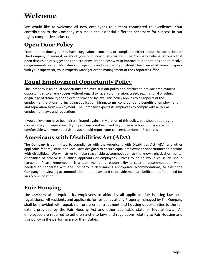# **Welcome**

We would like to welcome all new employees to a team committed to excellence. Your contribution to the Company can make the essential different necessary for success in our highly competitive industry.

### **Open Door Policy**

From time to time, you may have suggestions, concerns, or complaints either about the operations of The Company in general, or about your own individual situation. The Company believes strongly that open discussion of suggestions and criticisms are the best way to improve our operations and to resolve disagreements early. We value your opinions and input and you should feel free at all times to speak with your supervisor, your Property Manager or the management at the Corporate Office.

# **Equal Employment Opportunity Policy**

The Company is an equal opportunity employer. It is our policy and practice to provide employment opportunities to all employees without regard to race, color, religion, creed, sex, national or ethnic origin, age of disability to the extent provided by law. This policy applies to all aspects of the employment relationship, including application, hiring, terms, conditions and benefits of employment and separation from employment. The Company expects its employees to comply with all equal employment laws and regulations.

If you believe you have been discriminated against in violation of this policy, you should report your concerns to your supervisor. If you problem is not resolved to your satisfaction, or if you are not comfortable with your supervisor, you should report your concerns to Human Resources.

# **Americans with Disabilities Act (ADA)**

The Company is committed to compliance with the Americans with Disabilities Act (ADA) and other applicable federal, state, and local laws designed to ensure equal employment opportunities to persons with disabilities. We will strive to make reasonable accommodation to the known physical or mental disabilities of otherwise qualified applicants or employees, unless to do so would cause an undue hardship. Please remember it is a team member's responsibility to seek an accommodation when needed, to cooperate with the Company in determining appropriate accommodations, to assist the Company in reviewing accommodation alternatives, and to provide medical clarification of the need for an accommodation.

# **Fair Housing**

The Company also requires its employees to abide by all applicable fair housing laws and regulations. All residents and applicants for residency at any Property managed by The Company shall be provided with equal, non-preferential treatment and housing opportunities to the full extent provided by the Fair Housing Act and other applicable state or federal laws. All employees are required to adhere strictly to laws and regulations relating to Fair Housing and this policy in the performance of their duties.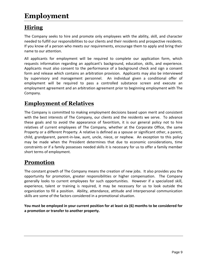# **Employment**

# **Hiring**

The Company seeks to hire and promote only employees with the ability, skill, and character needed to fulfill our responsibilities to our clients and their residents and prospective residents. If you know of a person who meets our requirements, encourage them to apply and bring their name to our attention.

All applicants for employment will be required to complete our application form, which requests information regarding an applicant's background, education, skills, and experience. Applicants must also consent to the performance of a background check and sign a consent form and release which contains an arbitration provision. Applicants may also be interviewed by supervisory and management personnel. An individual given a conditional offer of employment will be required to pass a controlled substance screen and execute an employment agreement and an arbitration agreement prior to beginning employment with The Company.

### **Employment of Relatives**

The Company is committed to making employment decisions based upon merit and consistent with the best interests of The Company, our clients and the residents we serve. To advance these goals and to avoid the appearance of favoritism, it is our general policy not to hire relatives of current employees of The Company, whether at the Corporate Office, the same Property or a different Property. A relative is defined as a spouse or significant other, a parent, child, grandparent, parent-in-law, aunt, uncle, niece, or nephew. An exception to this policy may be made when the President determines that due to economic considerations, time constraints or if a family possesses needed skills it is necessary for us to offer a family member short terms of employment.

# **Promotion**

The constant growth of The Company means the creation of new jobs. It also provides you the opportunity for promotion, greater responsibilities or higher compensation. The Company generally looks to current employees for such opportunities. However if a specialized skill, experience, talent or training is required, it may be necessary for us to look outside the organization to fill a position. Ability, attendance, attitude and interpersonal communication skills are some of the factors considered in a promotional situation.

**You must be employed in your current position for at least six (6) months to be considered for a promotion or transfer to another property.**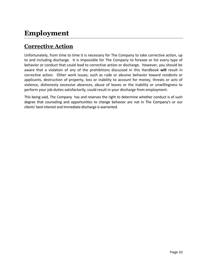# **Employment**

# **Corrective Action**

Unfortunately, from time to time it is necessary for The Company to take corrective action, up to and including discharge. It is impossible for The Company to foresee or list every type of behavior or conduct that could lead to corrective action or discharge. However, you should be aware that a violation of any of the prohibitions discussed in this Handbook **will** result in corrective action. Other work issues, such as rude or abusive behavior toward residents or applicants, destruction of property, loss or inability to account for money, threats or acts of violence, dishonesty excessive absences, abuse of leaves or the inability or unwillingness to perform your job duties satisfactorily, could result in your discharge from employment.

This being said, The Company has and reserves the right to determine whether conduct is of such degree that counseling and opportunities to change behavior are not in The Company's or our clients' best interest and immediate discharge is warranted.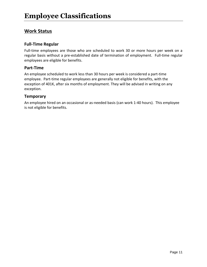#### **Work Status**

#### **Full-Time Regular**

Full-time employees are those who are scheduled to work 30 or more hours per week on a regular basis without a pre-established date of termination of employment. Full-time regular employees are eligible for benefits.

#### **Part-Time**

An employee scheduled to work less than 30 hours per week is considered a part-time employee. Part-time regular employees are generally not eligible for benefits, with the exception of 401K, after six months of employment. They will be advised in writing on any exception.

#### **Temporary**

An employee hired on an occasional or as-needed basis (can work 1-40 hours). This employee is not eligible for benefits.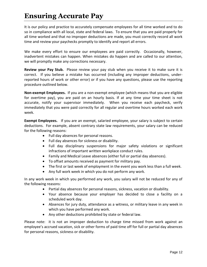# **Ensuring Accurate Pay**

It is our policy and practice to accurately compensate employees for all time worked and to do so in compliance with all local, state and federal laws. To ensure that you are paid properly for all time worked and that no improper deductions are made, you must correctly record all work time and review your paychecks promptly to identify and report all errors.

We make every effort to ensure our employees are paid correctly. Occasionally, however, inadvertent mistakes can happen. When mistakes do happen and are called to our attention, we will promptly make any corrections necessary.

**Review your Pay Stub.** Please review your pay stub when you receive it to make sure it is correct. If you believe a mistake has occurred (including any improper deductions, underreported hours of work or other error) or if you have any questions, please use the reporting procedure outlined below.

**Non-exempt Employees.** If you are a non-exempt employee (which means that you are eligible for overtime pay), you are paid on an hourly basis. If at any time your time sheet is not accurate, notify your supervisor immediately. When you receive each paycheck, verify immediately that you were paid correctly for all regular and overtime hours worked each work week.

**Exempt Employees.** If you are an exempt, salaried employee, your salary is subject to certain deductions. For example, absent contrary state law requirements, your salary can be reduced for the following reasons:

- Full day absences for personal reasons.
- Full day absences for sickness or disability.
- Full day disciplinary suspensions for major safety violations or significant infractions of important written workplace conduct rules.
- Family and Medical Leave absences (either full or partial day absences).
- To offset amounts received as payment for military pay.
- The first or last week of employment in the event you work less than a full week.
- Any full work week in which you do not perform any work.

In any work week in which you performed any work, you salary will not be reduced for any of the following reasons:

- Partial day absences for personal reasons, sickness, vacation or disability.
- Your absence because your employer has decided to close a facility on a scheduled work day.
- Absences for jury duty, attendance as a witness, or military leave in any week in which you have performed any work.
- Any other deductions prohibited by state or federal law.

Please note: it is not an improper deduction to charge time missed from work against an employee's accrued vacation, sick or other forms of paid time off for full or partial day absences for personal reasons, sickness or disability.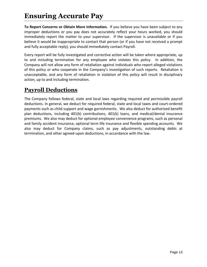**To Report Concerns or Obtain More Information.** If you believe you have been subject to any improper deductions or you pay does not accurately reflect your hours worked, you should immediately report the matter to your supervisor. If the supervisor is unavailable or if you believe it would be inappropriate to contact that person (or if you have not received a prompt and fully acceptable reply), you should immediately contact Payroll.

Every report will be fully investigated and corrective action will be taken where appropriate, up to and including termination for any employee who violates this policy. In addition, the Company will not allow any form of retaliation against individuals who report alleged violations of this policy or who cooperate in the Company's investigation of such reports. Retaliation is unacceptable, and any form of retaliation in violation of this policy will result in disciplinary action, up to and including termination.

### **Payroll Deductions**

The Company follows federal, state and local laws regarding required and permissible payroll deductions. In general, we deduct for required federal, state and local taxes and court-ordered payments such as child support and wage garnishments. We also deduct for authorized benefit plan deductions, including 401(k) contributions, 401(k) loans, and medical/dental insurance premiums. We also may deduct for optional employee convenience programs, such as personal and family accident insurance, optional term life insurance and flexible spending accounts. We also may deduct for Company claims, such as pay adjustments, outstanding debts at termination, and other agreed-upon deductions, in accordance with the law.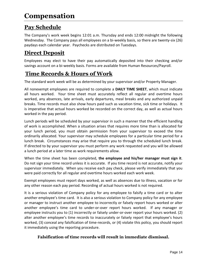# **Pay Schedule**

The Company's work week begins 12:01 a.m. Thursday and ends 12:00 midnight the following Wednesday. The Company pays all employees on a bi-weekly basis, so there are twenty-six (26) paydays each calendar year. Paychecks are distributed on Tuesdays.

# **Direct Deposit**

Employees may elect to have their pay automatically deposited into their checking and/or savings account on a bi-weekly basis. Forms are available from Human Resources/Payroll.

### **Time Records & Hours of Work**

The standard work week will be as determined by your supervisor and/or Property Manager.

All nonexempt employees are required to complete a **DAILY TIME SHEET**, which must indicate all hours worked. Your time sheet must accurately reflect all regular and overtime hours worked, any absences, late arrivals, early departures, meal breaks and any authorized unpaid breaks. Time records must also show hours paid such as vacation time, sick time or holidays. It is imperative that actual hours worked be recorded on the correct day, as well as actual hours worked in the pay period.

Lunch periods will be scheduled by your supervisor in such a manner that the efficient handling of work is accomplished. When a situation arises that requires more time than is allocated for your lunch period, you must obtain permission from your supervisor to exceed the time ordinarily allocated. Your supervisor may schedule employees for a particular time period for a lunch break. Circumstances may arise that require you to through the scheduled lunch break. If directed to by your supervisor you must perform any work requested and you will be allowed a lunch period at a later time as work requirements allow.

When the time sheet has been completed, **the employee and his/her manager must sign it**. Do not sign your time record unless it is accurate. If you time record is not accurate, notify your supervisor immediately. When you receive each pay check, please verify immediately that you were paid correctly for all regular and overtime hours worked each work week.

Exempt employees must report days worked, as well as absences due to illness, vacation or for any other reason each pay period. Recording of actual hours worked is not required.

It is a serious violation of Company policy for any employee to falsify a time card or to alter another employee's time card. It is also a serious violation to Company policy for any employee or manager to instruct another employee to incorrectly or falsely report hours worked or alter another employee's time card to under-or-over report hours worked. If any manager or employee instructs you to (1) incorrectly or falsely under-or-over report your hours worked. (2) alter another employee's time records to inaccurately or falsely report that employee's hours worked, (3) conceal any falsification of time-records, or (4) violate this policy, you should report it immediately using the reporting procedure.

#### **Falsification of time records will result in immediate dismissal.**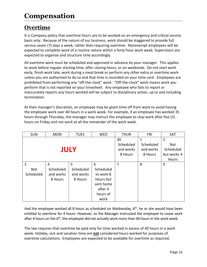# **Overtime**

It is Company policy that overtime hours are to be worked on an emergency and critical service basis only. Because of the nature of our business, work should be staggered to provide full service seven (7) days a week, rather than requiring overtime. Nonexempt employees will be expected to complete work of a routine nature within a forty-hour work week. Supervisors are expected to organize and structure time accordingly.

All overtime work must be scheduled and approved in advance by your manager. This applies to work before regular starting time, after closing hours, or on weekends. Do not start work early, finish work late, work during a meal break or perform any other extra or overtime work unless you are authorized to do so and that time is recorded on your time card. Employees are prohibited from performing any "off-the-clock" work. "Off-the-clock" work means work you perform that is not reported on your timesheet. Any employee who fails to report or inaccurately reports any hours worked will be subject to disciplinary action, up to and including termination.

At their manager's discretion, an employee may be given time off from work to avoid having the employee work over 40 hours in a work week. For example, if an employee has worked 35 hours through Thursday, the manager may instruct the employee to stop work after five (5) hours on Friday and not work at all the remainder of the work week.

| <b>SUN</b>            | <b>MON</b>                             | <b>TUES</b>                            | <b>WED</b>                                                                           | <b>THUR</b>                             | <b>FRI</b>                             | <b>SAT</b>                                                        |
|-----------------------|----------------------------------------|----------------------------------------|--------------------------------------------------------------------------------------|-----------------------------------------|----------------------------------------|-------------------------------------------------------------------|
| <b>JULY</b>           |                                        |                                        |                                                                                      | 30<br>Scheduled<br>and works<br>8 Hours | 1<br>Scheduled<br>and works<br>8 Hours | $\overline{2}$<br>Not<br>Scheduled<br>but works 4<br><b>Hours</b> |
| 3<br>Not<br>Scheduled | 4<br>Scheduled<br>and works<br>8 Hours | 5<br>Scheduled<br>and works<br>8 Hours | 6<br>Scheduled<br>to work 8<br>Hours but<br>sent home<br>after 4<br>hours of<br>work | 7                                       | 8                                      | 9                                                                 |

Had the employee worked all 8 hours as scheduled on Wednesday,  $6<sup>th</sup>$ , he or she would have been entitled to overtime for 4 hours. However, as the Manager instructed the employee to cease work after 4 hours on the 6<sup>th</sup>, the employee did not actually work more than 40 hours in the work week.

The law requires that overtime be paid only for time worked in excess of 40 hours in a work week. Holiday, sick and vacation time are **not** considered hours worked for purposes of overtime calculations. Employees are expected to be available for overtime as required.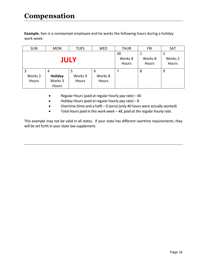**Example.** Ken is a nonexempt employee and he works the following hours during a holiday work week:

| <b>SUN</b>  | <b>MON</b> | <b>TUES</b> | <b>WED</b> | <b>THUR</b> | <b>FRI</b> | SAT                |
|-------------|------------|-------------|------------|-------------|------------|--------------------|
|             |            |             |            | 30          |            |                    |
| <b>JULY</b> |            |             |            | Works 8     | Works 8    | Works <sub>2</sub> |
|             |            |             | Hours      | Hours       | Hours      |                    |
| 3           | 4          | 5           | 6          |             | 8          | 9                  |
| Works 2     | Holiday    | Works 9     | Works 8    |             |            |                    |
| Hours       | Works 3    | Hours       | Hours      |             |            |                    |
|             | Hours      |             |            |             |            |                    |

- Regular Hours (paid at regular hourly pay rate) 40
- Holiday Hours (paid at regular hourly pay rate) 8
- Overtime (time and a half) 0 (zero) (only 40 hours were actually worked)
- *Total Hours paid in this work week – 48, paid at the regular hourly rate.*

This example may not be valid in all states. If your state has different overtime requirements, they will be set forth in your state law supplement.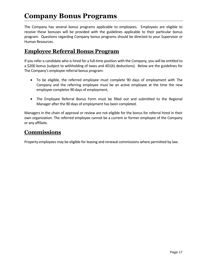# **Company Bonus Programs**

The Company has several bonus programs applicable to employees. Employees are eligible to receive these bonuses will be provided with the guidelines applicable to their particular bonus program. Questions regarding Company bonus programs should be directed to your Supervisor or Human Resources.

### **Employee Referral Bonus Program**

If you refer a candidate who is hired for a full-time position with the Company, you will be entitled to a \$200 bonus (subject to withholding of taxes and 401(k) deductions). Below are the guidelines for The Company's employee referral bonus program:

- To be eligible, the referred employee must complete 90 days of employment with The Company and the referring employee must be an active employee at the time the new employee completes 90 days of employment,
- The Employee Referral Bonus Form must be filled out and submitted to the Regional Manager after the 90 days of employment has been completed.

Managers in the chain of approval or review are not eligible for the bonus for referral hired in their own organization. The referred employee cannot be a current or former employee of the Company or any affiliate.

#### **Commissions**

Property employees may be eligible for leasing and renewal commissions where permitted by law.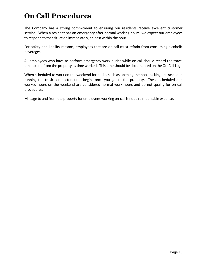# **On Call Procedures**

The Company has a strong commitment to ensuring our residents receive excellent customer service. When a resident has an emergency after normal working hours, we expect our employees to respond to that situation immediately, at least within the hour.

For safety and liability reasons, employees that are on call must refrain from consuming alcoholic beverages.

All employees who have to perform emergency work duties while on-call should record the travel time to and from the property as time worked. This time should be documented on the On-Call Log.

When scheduled to work on the weekend for duties such as opening the pool, picking up trash, and running the trash compactor, time begins once you get to the property. These scheduled and worked hours on the weekend are considered normal work hours and do not qualify for on call procedures.

Mileage to and from the property for employees working on-call is not a reimbursable expense.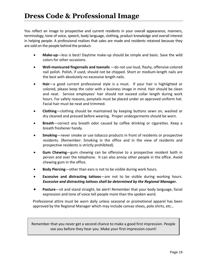You reflect an image to prospective and current residents in your overall appearance, manners, terminology, tone of voice, speech, body language, clothing, product knowledge and overall interest in helping people. A professional realizes that sales are made and residents retained because they are sold on the people behind the product.

- **Make-up**—less is best! Daytime make-up should be simple and basic. Save the wild colors for other occasions.
- **Well-manicured fingernails and toenails** —do not use loud, flashy, offensive-colored nail polish. Polish, if used, should not be chipped. Short or medium-length nails are the best with absolutely no excessive length nails.
- **Hair**—a good current professional style is a must. If your hair is highlighted or colored, please keep the color with a business image in mind. Hair should be clean and neat. Service employees' hair should not exceed collar length during work hours. For safety reasons, ponytails must be placed under an approved uniform hat. Facial hair must be neat and trimmed.
- **Clothing**—clothing should be maintained by keeping buttons sewn on, washed or dry cleaned and pressed before wearing. Proper undergarments should be worn.
- **Breath**—correct any breath odor caused by coffee drinking or cigarettes. Keep a breath freshener handy.
- **Smoking**—never smoke or use tobacco products in front of residents or prospective residents. (Remember: Smoking in the office and in the view of residents and prospective residents is strictly prohibited).
- **Gum Chewing**—gum chewing can be offensive to a prospective resident both in person and over the telephone. It can also annoy other people in the office. Avoid chewing gum in the office.
- **Body Piercing**—other than ears is not to be visible during work hours.
- **Excessive and distracting tattoos**—are not to be visible during working hours. *Excessive and distracting tattoos shall be determined by the Regional Manager.*
- **Posture**—sit and stand straight, be alert! Remember that your body language, facial expression and tone of voice tell people more than the spoken word.

Professional attire must be worn daily unless seasonal or promotional apparel has been approved by the Regional Manager which may include canvas shoes, polo shirts, etc…

Remember that you never get a second chance to make a good first impression. People see you before they hear you. Make your first impression count!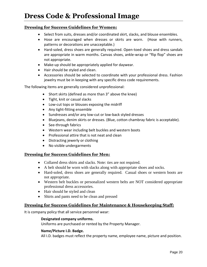#### **Dressing for Success Guidelines for Women:**

- Select from suits, dresses and/or coordinated skirt, slacks, and blouse ensembles.
- Hose are encouraged when dresses or skirts are worn. (Hose with runners, patterns or decorations are unacceptable.)
- Hard-soled, dress shoes are generally required. Open-toed shoes and dress sandals are appropriate in warm months. Canvas shoes, ankle-wrap or "flip flop" shoes are not appropriate.
- Make-up should be appropriately applied for daywear.
- Hair should be styled and clean.
- Accessories should be selected to coordinate with your professional dress. Fashion jewelry must be in keeping with any specific dress code requirements.

The following items are generally considered unprofessional:

- Short skirts (defined as more than 3" above the knee)
- Tight, knit or casual slacks
- Low-cut tops or blouses exposing the midriff
- Any tight-fitting ensemble
- Sundresses and/or any low-cut or low-back styled dresses
- Bluejeans, denim skirts or dresses. (Blue, cotton chambray fabric is acceptable).
- See-through fabrics
- Western wear including belt buckles and western boots
- Professional attire that is not neat and clean
- Distracting jewerly or clothing
- No visible undergarments

#### **Dressing for Success Guidelines for Men:**

- Collared dress shirts and slacks. Note: ties are not required.
- A belt should be worn with slacks along with appropriate shoes and socks.
- Hard-soled, dress shoes are generally required. Casual shoes or western boots are not appropriate.
- Western belt buckles or personalized western belts are NOT considered appropriate professional dress accessories.
- Hair should be styled and clean
- Shirts and pants need to be clean and pressed

#### **Dressing for Success Guidelines for Maintenance & Housekeeping Staff:**

It is company policy that all service personnel wear:

#### **Designated company uniforms.**

Uniforms are purchased or rented by the Property Manager.

#### **Name/Picture I.D. Badge.**

All I.D. badges must reflect the property name, employee name, picture and position.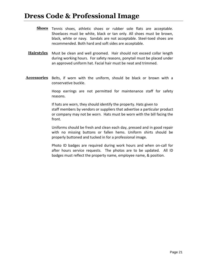- **Shoes** Tennis shoes, athletic shoes or rubber sole flats are acceptable. Shoelaces must be white, black or tan only. All shoes must be brown, black, white or navy. Sandals are not acceptable. Steel-toed shoes are recommended. Both hard and soft sides are acceptable.
- **Hairstyles** Must be clean and well groomed. Hair should not exceed collar length during working hours. For safety reasons, ponytail must be placed under an approved uniform hat. Facial hair must be neat and trimmed.
- **Accessories** Belts, if worn with the uniform, should be black or brown with a conservative buckle.

Hoop earrings are not permitted for maintenance staff for safety reasons.

If hats are worn, they should identify the property. Hats given to staff members by vendors or suppliers that advertise a particular product or company may not be worn. Hats must be worn with the bill facing the front.

Uniforms should be fresh and clean each day, pressed and in good repair with no missing buttons or fallen hems. Uniform shirts should be properly buttoned and tucked in for a professional image.

Photo ID badges are required during work hours and when on-call for after hours service requests. The photos are to be updated. All ID badges must reflect the property name, employee name, & position.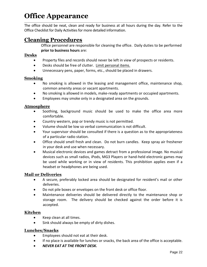#### **Office Appearance** \_\_\_\_\_\_\_\_\_\_\_\_\_\_\_\_\_\_\_\_\_\_\_\_\_\_\_\_\_\_\_\_\_\_\_\_\_\_\_\_\_\_\_\_\_\_\_\_\_\_\_\_\_\_\_\_\_\_\_\_\_\_\_\_\_\_\_\_\_\_\_\_\_\_\_\_\_\_\_\_\_\_\_\_\_\_\_\_\_\_\_\_\_\_\_\_\_\_\_\_\_\_\_\_\_\_\_\_\_\_\_\_\_\_\_\_\_

The office should be neat, clean and ready for business at all hours during the day. Refer to the Office Checklist for Daily Activities for more detailed information.

### **Cleaning Procedures**

Office personnel are responsible for cleaning the office. Daily duties to be performed **prior to business hours** are:

#### **Desks**

- Property files and records should never be left in view of prospects or residents.
- Desks should be free of clutter. Limit personal items.
- Unnecessary pens, paper, forms, etc., should be placed in drawers.

#### **Smoking**

- No smoking is allowed in the leasing and management office, maintenance shop, common amenity areas or vacant apartments.
- No smoking is allowed in models, make-ready apartments or occupied apartments.
- Employees may smoke only in a designated area on the grounds.

#### **Atmosphere**

- Soothing, background music should be used to make the office area more comfortable.
- Country western, pop or trendy music is not permitted.
- Volume should be low so verbal communication is not difficult.
- Your supervisor should be consulted if there is a question as to the appropriateness of a particular radio station.
- Office should smell fresh and clean. Do not burn candles. Keep spray air freshener in your desk and use when necessary.
- Musical electronic devices and games detract from a professional image. No musical devices such as small radios, iPods, MG3 Players or hand-held electronic games may be used while working or in view of residents. This prohibition applies even if a headset or headphones are being used.

#### **Mail or Deliveries**

- A secure, preferably locked area should be designated for resident's mail or other deliveries.
- Do not pile boxes or envelopes on the front desk or office floor.
- Maintenance deliveries should be delivered directly to the maintenance shop or storage room. The delivery should be checked against the order before it is accepted.

#### **Kitchen**

- Keep clean at all times.
- Sink should always be empty of dirty dishes.

#### **Lunches/Snacks**

- **•** Employees should not eat at their desk.
- If no place is available for lunches or snacks, the back area of the office is acceptable.
- *NEVER EAT AT THE FRONT DESK.*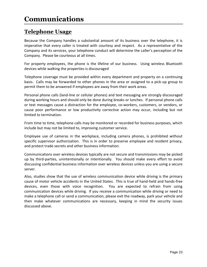### **Telephone Usage**

Because the Company handles a substantial amount of its business over the telephone, it is imperative that every caller is treated with courtesy and respect. As a representative of the Company and its services, your telephone conduct will determine the caller's perception of the Company. Please be courteous at all times.

For property employees, the phone is the lifeline of our business. Using wireless Bluetooth devices while walking the properties is discouraged

Telephone coverage must be provided within every department and property on a continuing basis. Calls may be forwarded to other phones in the area or assigned to a pick-up group to permit them to be answered if employees are away from their work areas.

Personal phone calls (land-line or cellular phones) and text messaging are strongly discouraged during working hours and should only be done during breaks or lunches. If personal phone calls or text messages cause a distraction for the employee, co-workers, customers, or vendors, or cause poor performance or low productivity corrective action may occur, including but not limited to termination.

From time to time, telephone calls may be monitored or recorded for business purposes, which include but may not be limited to, improving customer service.

Employee use of cameras in the workplace, including camera phones, is prohibited without specific supervisor authorization. This is in order to preserve employee and resident privacy, and protect trade secrets and other business information.

Communications over wireless devices typically are not secure and transmissions may be picked up by third-parties, unintentionally or intentionally. You should make every effort to avoid discussing confidential business information over wireless devices unless you are using a secure server.

Also, studies show that the use of wireless communication device while driving is the primary cause of motor vehicle accidents in the United States. This is true of hand-held and hands-free devices, even those with voice recognition. You are expected to refrain from using communication devices while driving. If you receive a communication while driving or need to make a telephone call or send a communication, please exit the roadway, park your vehicle and then make whatever communications are necessary, keeping in mind the security issues discussed above.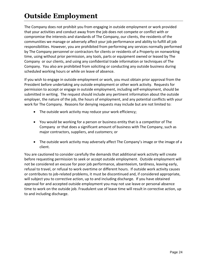# **Outside Employment**

The Company does not prohibit you from engaging in outside employment or work provided that your activities and conduct away from the job does not compete or conflict with or compromise the interests and standards of The Company, our clients, the residents of the communities we manage or adversely affect your job performance and ability to fulfill all job responsibilities. However, you are prohibited from performing any services normally performed by The Company personnel or contractors for clients or residents of a Property on nonworking time, using without prior permission, any tools, parts or equipment owned or leased by The Company or our clients, and using any confidential trade information or techniques of The Company. You also are prohibited from soliciting or conducting any outside business during scheduled working hours or while on leave of absence.

If you wish to engage in outside employment or work, you must obtain prior approval from the President before undertaking any outside employment or other work activity. Requests for permission to accept or engage in outside employment, including self-employment, should be submitted in writing. The request should include any pertinent information about the outside employer, the nature of the job, the hours of employment, and any potential conflicts with your work for The Company. Reasons for denying requests may include but are not limited to:

- The outside work activity may reduce your work efficiency;
- You would be working for a person or business entity that is a competitor of The Company or that does a significant amount of business with The Company, such as major contractors, suppliers, and customers; or
- The outside work activity may adversely affect The Company's image or the image of a client.

You are cautioned to consider carefully the demands that additional work activity will create before requesting permission to seek or accept outside employment. Outside employment will not be considered an excuse for poor job performance, absenteeism, tardiness, leaving early, refusal to travel, or refusal to work overtime or different hours. If outside work activity causes or contributes to job-related problems, it must be discontinued and, if considered appropriate, will subject you to corrective action, up to and including discharge. If you have obtained approval for and accepted outside employment you may not use leave or personal absence time to work on the outside job. Fraudulent use of leave time will result in corrective action, up to and including discharge.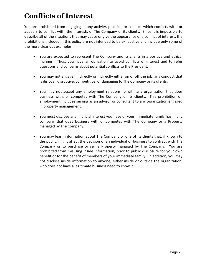# **Conflicts of Interest**

You are prohibited from engaging in any activity, practice, or conduct which conflicts with, or appears to conflict with, the interests of The Company or its clients. Since it is impossible to describe all of the situations that may cause or give the appearance of a conflict of interest, the prohibitions included in this policy are not intended to be exhaustive and include only some of the more clear-cut examples.

- You are expected to represent The Company and its clients in a positive and ethical manner. Thus, you have an obligation to avoid conflicts of interest and to refer questions and concerns about potential conflicts to the President.
- You may not engage in, directly or indirectly either on or off the job, any conduct that is disloyal, disruptive, competitive, or damaging to The Company or its clients.
- You may not accept any employment relationship with any organization that does business with, or competes with The Company or its clients. This prohibition on employment includes serving as an advisor or consultant to any organization engaged in property management.
- You must disclose any financial interest you have or your immediate family has in any company that does business with or competes with The Company or a Property managed by The Company.
- You may learn information about The Company or one of its clients that, if known to the public, might affect the decision of an individual or business to contract with The Company or to purchase or sell a Property managed by The Company. You are prohibited from misusing inside information, prior to public disclosure for your own benefit or for the benefit of members of your immediate family. In addition, you may not disclose inside information to anyone, either inside or outside the organization, who does not have a legitimate business need to know it.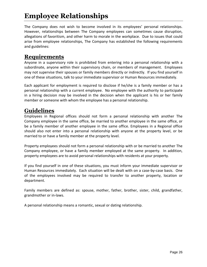# **Employee Relationships**

The Company does not wish to become involved in its employees' personal relationships. However, relationships between The Company employees can sometimes cause disruption, allegations of favoritism, and other harm to morale in the workplace. Due to issues that could arise from employee relationships, The Company has established the following requirements and guidelines:

### **Requirements**

Anyone in a supervisory role is prohibited from entering into a personal relationship with a subordinate, anyone within their supervisory chain, or members of management. Employees may not supervise their spouses or family members directly or indirectly. If you find yourself in one of these situations, talk to your immediate supervisor or Human Resources immediately.

Each applicant for employment is required to disclose if he/she is a family member or has a personal relationship with a current employee. No employee with the authority to participate in a hiring decision may be involved in the decision when the applicant is his or her family member or someone with whom the employee has a personal relationship.

### **Guidelines**

Employees in Regional offices should not form a personal relationship with another The Company employee in the same office, be married to another employee in the same office, or be a family member of another employee in the same office. Employees in a Regional office should also not enter into a personal relationship with anyone at the property level, or be married to or have a family member at the property level.

Property employees should not form a personal relationship with or be married to another The Company employee, or have a family member employed at the same property. In addition, property employees are to avoid personal relationships with residents at your property.

If you find yourself in one of these situations, you must inform your immediate supervisor or Human Resources immediately. Each situation will be dealt with on a case-by-case basis. One of the employees involved may be required to transfer to another property, location or department.

Family members are defined as: spouse, mother, father, brother, sister, child, grandfather, grandmother or in-laws.

A personal relationship means a romantic, sexual or dating relationship.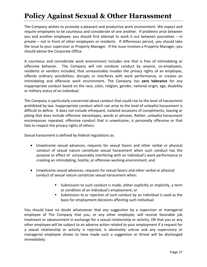# **Policy Against Sexual & Other Harassment**

The Company wishes to promote a pleasant and productive work environment. We expect and require employees to be courteous and considerate of one another. If problems arise between you and another employee, you should first attempt to work it out between yourselves – in private – not in front of other employees or residents. If differences persist, you should take the issue to your supervisor or Property Manager. If the issue involves a Property Manager, you should advise the Corporate Office.

A courteous and considerate work environment includes one that is free of intimidating or offensive behavior. The Company will not condone conduct by anyone, co-employees, residents or vendors included, that unreasonably invades the privacy rights of an employee, offends ordinary sensibilities, disrupts or interferes with work performance, or creates an intimidating and offensive work environment. The Company has **zero tolerance** for any inappropriate conduct based on the race, color, religion, gender, national origin, age, disability or military status of an individual.

The Company is particularly concerned about conduct that could rise to the level of harassment prohibited by law. Inappropriate conduct which can arise to the level of unlawful harassment is difficult to define. It does not include infrequent, isolated occasions of compliments, teasing or joking that does include offensive stereotypes, words or phrases. Rather, unlawful harassment encompasses repeated, offensive conduct that is unwelcome, is personally offensive or that fails to respect the privacy rights of others.

Sexual harassment is defined by federal regulations as:

- Unwelcome sexual advances, requests for sexual favors and other verbal or physical conduct of sexual nature constitute sexual harassment when such conduct has the purpose or effect of unreasonably interfering with an individual's work performance or creating an intimidating, hostile, or offensive working environment; and
- Unwelcome sexual advances, requests for sexual favors and other verbal or physical conduct of sexual nature constitute sexual harassment when:
	- Submission to such conduct is made, either explicitly or implicitly, a term or condition of an individual's employment; or
	- Submission to or rejection of such conduct by an individual is used as the basis for employment decisions affecting such individual.

You should have no doubt whatsoever that any suggestion by a supervisor or managerial employee of The Company that you, or any other employee, will receive favorable job treatment or advancement in exchange for a sexual relationship or activity, OR that you or any other employee will be subject to an adverse action related to your employment if a request for a sexual relationship or activity is rejected, is absolutely untrue and any supervisory or managerial employee shown to have made such a suggestion or threat will be discharged immediately.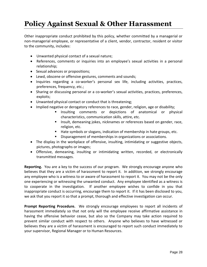# **Policy Against Sexual & Other Harassment**

Other inappropriate conduct prohibited by this policy, whether committed by a managerial or non-managerial employee, or representative of a client, vendor, contractor, resident or visitor to the community, includes:

- Unwanted physical contact of a sexual nature;
- References, comments or inquiries into an employee's sexual activities in a personal relationship;
- Sexual advances or propositions;
- Lewd, obscene or offensive gestures, comments and sounds;
- Inquiries regarding a co-worker's personal sex life, including activities, practices, preferences, frequency, etc.;
- Sharing or discussing personal or a co-worker's sexual activities, practices, preferences, exploits;
- Unwanted physical contact or conduct that is threatening;
- Implied negative or derogatory references to race, gender, religion, age or disability;
	- **Insulting comments or depictions of anatomical or physical** characteristics, communication skills, attire, etc.
	- **Insult, demeaning jokes, nicknames or references based on gender, race,** religion, etc.
	- Hate symbols or slogans, indication of membership in hate groups, etc.
	- Disparagement of memberships in organizations or associations.
- The display in the workplace of offensive, insulting, intimidating or suggestive objects, pictures, photographs or images;
- Offensive, demeaning, insulting or intimidating written, recorded, or electronically transmitted messages.

**Reporting.** You are a key to the success of our program. We strongly encourage anyone who believes that they are a victim of harassment to report it. In addition, we strongly encourage any employee who is a witness to or aware of harassment to report it. You may not be the only one experiencing or witnessing the unwanted conduct. Any employee identified as a witness is to cooperate in the investigation. If another employee wishes to confide in you that inappropriate conduct is occurring, encourage them to report it. If it has been disclosed to you, we ask that you report it so that a prompt, thorough and effective investigation can occur.

**Prompt Reporting Procedure.** We strongly encourage employees to report all incidents of harassment immediately so that not only will the employee receive affirmative assistance in having the offensive behavior cease, but also so the Company may take action required to prevent similar conduct with respect to others. Anyone who believes to have witnessed or believes they are a victim of harassment is encouraged to report such conduct immediately to your supervisor, Regional Manager or to Human Resources.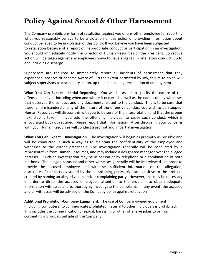# **Policy Against Sexual & Other Harassment**

The Company prohibits any form of retaliation against you or any other employee for reporting what you reasonably believe to be a violation of this policy or providing information about conduct believed to be in violation of this policy. If you believe you have been subjected to retaliation because of a report of inappropriate conduct or participation in an investigation, you should immediately notify the Director of Human Resources or the President. Corrective action will be taken against any employee shown to have engaged in retaliatory conduct, up to and including discharge.

Supervisors are required to immediately report all incidents of harassment that they experience, observe or become aware of. To the extent permitted by law, failure to do so will subject supervisors to disciplinary action, up to and including termination of employment.

**What You Can Expect – Initial Reporting.** You will be asked to specify the nature of the offensive behavior including when and where it occurred as well as the names of any witnesses that observed the conduct and any documents related to the conduct. This is to be sure that there is no misunderstanding of the nature of the offensive conduct you wish to be stopped. Human Resources will discuss this with you to be sure of the interpretation and that the proper next step is taken. If you told the offending individual to cease such conduct, which is encouraged but not required, please report that information. After discussing your concerns with you, Human Resources will conduct a prompt and impartial investigation.

**What You Can Expect – Investigation.** The investigation will begin as promptly as possible and will be conducted in such a way as to maintain the confidentiality of the employee and witnesses to the extent practicable. The investigation generally will be conducted by a representative from Human Resources, and may include a designated manager over the alleged harasser. Such an investigation may be in person or by telephone or a combination of both methods. The alleged harasser and other witnesses generally will be interviewed. In order to provide the accused employee and witnesses sufficient information on the allegation, disclosure of the facts as stated by the complaining party. We are sensitive to the problem created by naming an alleged victim and/or complaining party. However, this may be necessary in order to direct the accused employee's attention to the problem, to obtain adequate information witnesses and to thoroughly investigate the complaint. In any event, the accused and all witnesses will be advised on the Company policy against retaliation

**Additional Prohibition-Company Equipment.** The use of Company-owned equipment (including computers) to communicate prohibited material to other individuals is prohibited. This includes the communication of sexual, harassing or other offensive jokes to or from consenting individuals outside of the Company.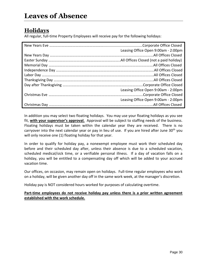### **Holidays**

All regular, full-time Property Employees will receive pay for the following holidays:

| Leasing Office Open 9:00am - 2:00pm |
|-------------------------------------|
|                                     |
|                                     |
|                                     |
|                                     |
|                                     |
|                                     |
|                                     |
| Leasing Office Open 9:00am - 2:00pm |
|                                     |
| Leasing Office Open 9:00am - 2:00pm |
|                                     |

In addition you may select two floating holidays. You may use your floating holidays as you see fit, **with your supervisor's approval.** Approval will be subject to staffing needs of the business. Floating holidays must be taken within the calendar year they are received. There is no carryover into the next calendar year or pay in lieu of use. If you are hired after June 30<sup>th</sup> you will only receive one (1) floating holiday for that year.

In order to qualify for holiday pay, a nonexempt employee must work their scheduled day before and their scheduled day after, unless their absence is due to a scheduled vacation, scheduled medical/sick time, or a verifiable personal illness. If a day of vacation falls on a holiday, you will be entitled to a compensating day off which will be added to your accrued vacation time.

Our offices, on occasion, may remain open on holidays. Full-time regular employees who work on a holiday, will be given another day off in the same work week, at the manager's discretion.

Holiday pay is NOT considered hours worked for purposes of calculating overtime.

#### **Part-time employees do not receive holiday pay unless there is a prior written agreement established with the work schedule.**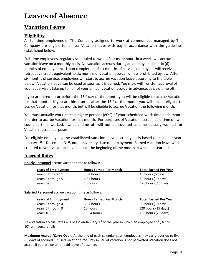### **Vacation Leave**

#### **Eligibility**

All full-time employees of The Company assigned to work at communities managed by The Company are eligible for annual Vacation leave with pay in accordance with the guidelines established below.

Full-time employees, regularly scheduled to work 40 or more hours in a week, will accrue vacation leave on a monthly basis. No vacation accrues during an employee's first six (6) months of employment. Upon completion of six months of service, employees will receive retroactive credit equivalent to six months of vacation accrual, unless prohibited by law. After six months of service, employees will start to accrue vacation leave according to the table below. Vacation leave can be used as soon as it is earned. You may, with written approval of your supervisor, take up to half of your annual vacation accrual in advance, as paid time off.

If you are hired on or before the  $15<sup>th</sup>$  day of the month you will be eligible to accrue Vacation for that month. If you are hired on or after the  $16<sup>th</sup>$  of the month you will not be eligible to accrue Vacation for that month, but will be eligible to accrue Vacation the following month.

You must actually work at least eighty percent (80%) of your scheduled work time each month in order to accrue Vacation for that month. For purposes of Vacation accrual, paid time off will count as time worked. Unpaid time off will not be counted as time actually worked for Vacation accrual purposes.

For eligible employees, the established vacation leave accrual year is based on calendar year, January  $1^{st}$  – December 31st, not anniversary date of employment. Earned vacation leave will be credited to your vacation leave bank at the beginning of the month in which it is earned.

#### **Accrual Rates**

**Hourly Personnel** accrue vacation time as follows:

| <b>Years of Employment</b> | <b>Hours Earned Per Month</b> | <b>Total Earned Per Year</b> |
|----------------------------|-------------------------------|------------------------------|
| Years 0 through 1          | 3.34 hours                    | 40 hours (5 days)            |
| Years 2 through 5          | 6.67 hours                    | 80 hours (10 days)           |
| Years 6+                   | 10 hours                      | 120 hours (15 days)          |

**Salaried Personnel** accrue vacation time as follows:

| <b>Years of Employment</b> | <b>Hours Earned Per Month</b> | <b>Total Earned Per Year</b> |
|----------------------------|-------------------------------|------------------------------|
| Years 0 through 4          | 6.67 hours                    | 80 hours (10 days)           |
| Years 5 through 9          | 10 hours                      | 120 hours (15 days)          |
| Years $10+$                | 13.34 hours                   | 160 hours (20 days)          |

New vacation accrual rates will begin on January  $1^{st}$  of the year in which an employee's  $5^{th}$ ,  $6^{th}$  or 10<sup>th</sup> anniversary falls.

**Maximum Accrual/Carry-Over.** At the end of each calendar year, employees may carry-over up to five (5) days of accrued, unused vacation time. Pay in lieu of vacation is not permitted. Vacation does not accrue if you are on an unpaid leave of absence.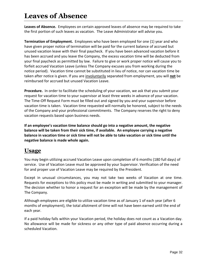# **Leaves of Absence**

**Leaves of Absence.** Employees on certain approved leaves of absence may be required to take the first portion of such leaves as vacation. The Leave Administrator will advise you.

**Termination of Employment.** Employees who have been employed for one (1) year and who have given proper notice of termination will be paid for the current balance of accrued but unused vacation leave with their final paycheck. If you have been advanced vacation before it has been accrued and you leave the Company, the excess vacation time will be deducted from your final paycheck as permitted by law. Failure to give or work proper notice will cause you to forfeit accrued Vacation Leave (unless The Company excuses you from working during the notice period). Vacation time cannot be substituted in lieu of notice, nor can vacation time be taken after notice is given. If you are involuntarily separated from employment, you will **not** be reimbursed for accrued but unused Vacation Leave.

**Procedure.** In order to facilitate the scheduling of your vacation, we ask that you submit your request for vacation time to your supervisor at least three weeks in advance of your vacation. The Time-Off Request Form must be filled out and signed by you and your supervisor before vacation time is taken. Vacation time requested will normally be honored, subject to the needs of the Company and your professional commitments. The Company reserves the right to deny vacation requests based upon business needs.

**If an employee's vacation time balance should go into a negative amount, the negative balance will be taken from their sick time, if available. An employee carrying a negative balance in vacation time or sick time will not be able to take vacation or sick time until the negative balance is made whole again.** 

# **Usage**

You may begin utilizing accrued Vacation Leave upon completion of 6 months (180 full days) of service. Use of Vacation Leave must be approved by your Supervisor. Verification of the need for and proper use of Vacation Leave may be required by the President.

Except in unusual circumstances, you may not take two weeks of Vacation at one time. Requests for exceptions to this policy must be made in writing and submitted to your manager. The decision whether to honor a request for an exception will be made by the management of The Company.

Although employees are eligible to utilize vacation time as of January 1 of each year (after 6 months of employment), the total allotment of time will not have been earned until the end of each year.

If a paid holiday falls within your Vacation period, the holiday does not count as a Vacation day. No allowance will be made for sickness or any other type of paid absence occurring during a scheduled Vacation.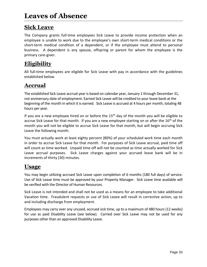# **Sick Leave**

The Company grants full-time employees Sick Leave to provide income protection when an employee is unable to work due to the employee's own short-term medical conditions or the short-term medical condition of a dependent, or if the employee must attend to personal business. A dependent is any spouse, offspring or parent for whom the employee is the primary care-giver.

# **Eligibility**

All full-time employees are eligible for Sick Leave with pay in accordance with the guidelines established below.

# **Accrual**

The established Sick Leave accrual year is based on calendar year, January 1 through December 31, not anniversary date of employment. Earned Sick Leave will be credited to your leave bank at the beginning of the month in which it is earned. Sick Leave is accrued at 4 hours per month, totaling 48 hours per year.

If you are a new employee hired on or before the  $15<sup>th</sup>$  day of the month you will be eligible to accrue Sick Leave for that month. If you are a new employee starting on or after the 16<sup>th</sup> of the month you will not be eligible to accrue Sick Leave for that month, but will begin accruing Sick Leave the following month.

You must actually work at least eighty percent (80%) of your scheduled work time each month in order to accrue Sick Leave for that month. For purposes of Sick Leave accrual, paid time off will count as time worked. Unpaid time off will not be counted as time actually worked for Sick Leave accrual purposes. Sick Leave charges against your accrued leave bank will be in increments of thirty (30) minutes.

# **Usage**

You may begin utilizing accrued Sick Leave upon completion of 6 months (180 full days) of service. Use of Sick Leave time must be approved by your Property Manager. Sick Leave time available will be verified with the Director of Human Resources.

Sick Leave is not intended and shall not be used as a means for an employee to take additional Vacation time. Fraudulent requests or use of Sick Leave will result in corrective action, up to and including discharge from employment.

Employees may carry over any unused, accrued sick time, up to a maximum of 480 hours (12 weeks) for use as paid Disability Leave (see below). Carried over Sick Leave may not be used for any purposes other than an approved Disability Leave.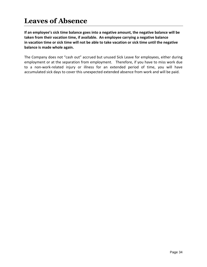# **Leaves of Absence**

**If an employee's sick time balance goes into a negative amount, the negative balance will be taken from their vacation time, if available. An employee carrying a negative balance in vacation time or sick time will not be able to take vacation or sick time until the negative balance is made whole again.** 

The Company does not "cash out" accrued but unused Sick Leave for employees, either during employment or at the separation from employment. Therefore, if you have to miss work due to a non-work-related injury or illness for an extended period of time, you will have accumulated sick days to cover this unexpected extended absence from work and will be paid.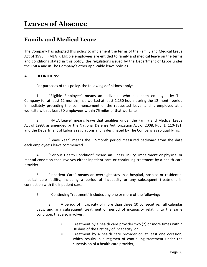### **Family and Medical Leave**

The Company has adopted this policy to implement the terms of the Family and Medical Leave Act of 1993 ("FMLA"). Eligible employees are entitled to family and medical leave on the terms and conditions stated in this policy, the regulations issued by the Department of Labor under the FMLA and in The Company's other applicable leave policies.

#### **A. DEFINITIONS:**

For purposes of this policy, the following definitions apply:

1. "Eligible Employee" means an individual who has been employed by The Company for at least 12 months, has worked at least 1,250 hours during the 12-month period immediately preceding the commencement of the requested leave, and is employed at a worksite with at least 50 employees within 75 miles of that worksite.

2. "FMLA Leave" means leave that qualifies under the Family and Medical Leave Act of 1993, as amended by the National Defense Authorization Act of 2008, Pub. L. 110-181, and the Department of Labor's regulations and is designated by The Company as so qualifying.

3. "Leave Year" means the 12-month period measured backward from the date each employee's leave commenced.

4. "Serious Health Condition" means an illness, injury, impairment or physical or mental condition that involves either inpatient care or continuing treatment by a health care provider.

5. "Inpatient Care" means an overnight stay in a hospital, hospice or residential medical care facility, including a period of incapacity or any subsequent treatment in connection with the inpatient care.

6. "Continuing Treatment" includes any one or more of the following:

a. A period of incapacity of more than three (3) consecutive, full calendar days, and any subsequent treatment or period of incapacity relating to the same condition, that also involves:

- i. Treatment by a health care provider two (2) or more times within 30 days of the first day of incapacity; or
- ii. Treatment by a health care provider on at least one occasion, which results in a regimen of continuing treatment under the supervision of a health care provider;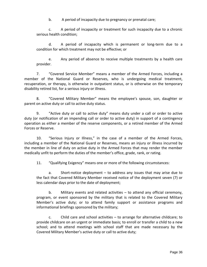b. A period of incapacity due to pregnancy or prenatal care;

c. A period of incapacity or treatment for such incapacity due to a chronic serious health condition;

d. A period of incapacity which is permanent or long-term due to a condition for which treatment may not be effective; or

e. Any period of absence to receive multiple treatments by a health care provider.

7. "Covered Service Member" means a member of the Armed Forces, including a member of the National Guard or Reserves, who is undergoing medical treatment, recuperation, or therapy, is otherwise in outpatient status, or is otherwise on the temporary disability retired list, for a serious injury or illness.

8. "Covered Military Member" means the employee's spouse, son, daughter or parent on active duty or call to active duty status.

9. "Active duty or call to active duty" means duty under a call or order to active duty (or notification of an impending call or order to active duty) in support of a contingency operation as either a member of the reserve components, or a retired member of the Armed Forces or Reserve.

10. "Serious Injury or Illness," in the case of a member of the Armed Forces, including a member of the National Guard or Reserves, means an injury or illness incurred by the member in line of duty on active duty in the Armed Forces that may render the member medically unfit to perform the duties of the member's office, grade, rank, or rating.

11. "Qualifying Exigency" means one or more of the following circumstances:

a. Short-notice deployment – to address any issues that may arise due to the fact that Covered Military Member received notice of the deployment seven (7) or less calendar days prior to the date of deployment;

b. Military events and related activities – to attend any official ceremony, program, or event sponsored by the military that is related to the Covered Military Member's active duty; or to attend family support or assistance programs and informational briefings sponsored by the military;

c. Child care and school activities – to arrange for alternative childcare; to provide childcare on an urgent or immediate basis; to enroll or transfer a child to a new school; and to attend meetings with school staff that are made necessary by the Covered Military Member's active duty or call to active duty;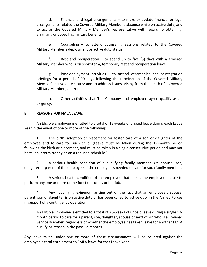d. Financial and legal arrangements – to make or update financial or legal arrangements related the Covered Military Member's absence while on active duty; and to act as the Covered Military Member's representative with regard to obtaining, arranging or appealing military benefits;

e. Counseling – to attend counseling sessions related to the Covered Military Member's deployment or active duty status;

f. Rest and recuperation – to spend up to five (5) days with a Covered Military Member who is on short-term, temporary rest and recuperation leave;

g. Post-deployment activities – to attend ceremonies and reintegration briefings for a period of 90 days following the termination of the Covered Military Member's active duty status; and to address issues arising from the death of a Covered Military Member ; and/or

h. Other activities that The Company and employee agree qualify as an exigency.

#### **B. REASONS FOR FMLA LEAVE:**

An Eligible Employee is entitled to a total of 12-weeks of unpaid leave during each Leave Year in the event of one or more of the following:

1. The birth, adoption or placement for foster care of a son or daughter of the employee and to care for such child. (Leave must be taken during the 12-month period following the birth or placement, and must be taken in a single consecutive period and may not be taken intermittently or on a reduced schedule.)

2. A serious health condition of a qualifying family member, *i.e.* spouse, son, daughter or parent of the employee, if the employee is needed to care for such family member.

3. A serious health condition of the employee that makes the employee unable to perform any one or more of the functions of his or her job.

4. Any "qualifying exigency" arising out of the fact that an employee's spouse, parent, son or daughter is on active duty or has been called to active duty in the Armed Forces in support of a contingency operation.

An Eligible Employee is entitled to a total of 26-weeks of unpaid leave during a single 12 month period to care for a parent, son, daughter, spouse or next of kin who is a Covered Service Member, regardless of whether the employee has taken leave for another FMLA qualifying reason in the past 12-months.

Any leave taken under one or more of these circumstances will be counted against the employee's total entitlement to FMLA leave for that Leave Year.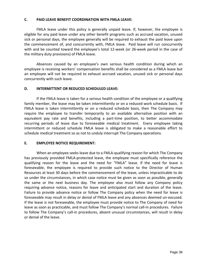#### **C. PAID LEAVE BENEFIT COORDINATION WITH FMLA LEAVE:**

FMLA leave under this policy is generally unpaid leave. If, however, the employee is eligible for any paid leave under any other benefit programs such as accrued vacation, unused sick or personal days, the employee generally will be required to exhaust the paid leave upon the commencement of, and concurrently with, FMLA leave. Paid leave will run concurrently with and be counted toward the employee's total 12-week (or 26-week period in the case of the military duty provisions) of FMLA leave.

Absences caused by an employee's own serious health condition during which an employee is receiving workers' compensation benefits shall be considered as a FMLA leave but an employee will not be required to exhaust accrued vacation, unused sick or personal days concurrently with such leave.

#### **D. INTERMITTENT OR REDUCED SCHEDULED LEAVE:**

If the FMLA leave is taken for a serious health condition of the employee or a qualifying family member, the leave may be taken intermittently or on a reduced work schedule basis. If FMLA leave is taken intermittently or on a reduced schedule basis, then The Company may require the employee to transfer temporarily to an available alternative position with an equivalent pay rate and benefits, including a part-time position, to better accommodate recurring periods of leave due to foreseeable medical treatment. Every employee taking intermittent or reduced schedule FMLA leave is obligated to make a reasonable effort to schedule medical treatment so as not to unduly interrupt The Company operations.

#### **E. EMPLOYEE NOTICE REQUIREMENT:**

When an employee seeks leave due to a FMLA-qualifying reason for which The Company has previously provided FMLA-protected leave, the employee must specifically reference the qualifying reason for the leave and the need for "FMLA" leave. If the need for leave is foreseeable, the employee is required to provide such notice to the Director of Human Resources at least 30 days before the commencement of the leave, unless impracticable to do so under the circumstances, in which case notice must be given as soon as possible, generally the same or the next business day. The employee also must follow any Company policy requiring advance notice, reasons for leave and anticipated start and duration of the leave. Failure to provide advance notice or follow The Company policy when the need for leave is foreseeable may result in delay or denial of FMLA leave and any absences deemed un-excused. If the leave is not foreseeable, the employee must provide notice to The Company of need for leave as soon as practicable, and must follow The Company's normal call-in procedures. Failure to follow The Company's call-in procedures, absent unusual circumstances, will result in delay or denial of the leave.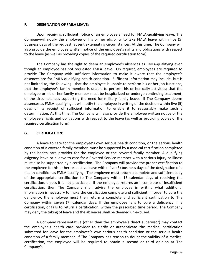#### **F. DESIGNATION OF FMLA LEAVE:**

Upon receiving sufficient notice of an employee's need for FMLA-qualifying leave, The Companywill notify the employee of his or her eligibility to take FMLA leave within five (5) business days of the request, absent extenuating circumstances. At this time, The Company will also provide the employee written notice of the employee's rights and obligations with respect to the leave (as well as providing copies of the required certification form).

The Company has the right to deem an employee's absences as FMLA-qualifying even though an employee has not requested FMLA leave. On request, employees are required to provide The Company with sufficient information to make it aware that the employee's absences are for FMLA-qualifying health condition. Sufficient information may include, but is not limited to, the following: that the employee is unable to perform his or her job functions; that the employee's family member is unable to perform his or her daily activities; that the employee or his or her family member must be hospitalized or undergo continuing treatment; or the circumstances supporting the need for military family leave. If The Company deems absences as FMLA-qualifying, it will notify the employee in writing of the decision within five (5) days of its receipt of sufficient information to enable it to reasonably make such a determination. At this time, The Company will also provide the employee written notice of the employee's rights and obligations with respect to the leave (as well as providing copies of the required certification form).

#### **G. CERTIFICATION:**

A leave to care for the employee's own serious health condition, or the serious health condition of a covered family member, must be supported by a medical certification completed by the health care provider for the employee or the covered family member. A qualifying exigency leave or a leave to care for a Covered Service member with a serious injury or illness must also be supported by a certification. The Company will provide the proper certification to the employee for his or her respective leave within five (5) business days of the designation of a health condition as FMLA-qualifying. The employee must return a complete and sufficient copy of the appropriate certification to The Company within 15 calendar days of receiving the certification, unless it is not practicable. If the employee returns an incomplete or insufficient certification, then The Company shall advise the employee in writing what additional information is necessary to make the certification complete and sufficient. In order to cure the deficiency, the employee must then return a complete and sufficient certification to The Company within seven (7) calendar days. If the employee fails to cure a deficiency in a certification, or fails to return a certification, within the prescribed time period, The Company may deny the taking of leave and the absences shall be deemed un-excused.

A Company representative (other than the employee's direct supervisor) may contact the employee's health care provider to clarify or authenticate the medical certification submitted for leave for the employee's own serious health condition or the serious health condition of a family member. If The Company has reason to doubt the validity of a medical certification, the employee will be required to obtain a second or third opinion at The Company's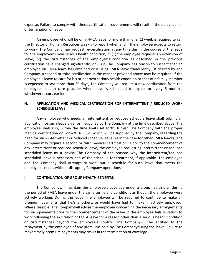expense. Failure to comply with these certification requirements will result in the delay, denial or termination of leave.

An employee who will be on a FMLA leave for more than one (1) week is required to call the Director of Human Resources weekly to report when and if the employee expects to return to work. The Company may request re-certification at any time during the course of the leave for the employee's own serious health condition, if: (1) the employee requests an extension of leave; (2) the circumstances of the employee's condition as described in the previous certification have changed significantly, or (3) if The Company has reason to suspect that an employee on FMLA leave has obtained or is using FMLA leave fraudulently. If desired by The Company, a second or third certification in the manner provided above may be required. If the employee's leave to care for his or her own serious health condition or that of a family member is expected to last more than 30 days, The Company will require a new certification from the employee's health care provider when leave is scheduled to expire, or every 6 months, whichever occurs earlier.

#### **H. APPLICATION AND MEDICAL CERTIFICATION FOR INTERMITTENT / REDUCED WORK SCHEDULE LEAVE:**

Any employee who needs an intermittent or reduced schedule leave shall submit an application for such leave on a form supplied by The Company at the time described above. The employee shall also, within the time limits set forth, furnish The Company with the proper medical certification on Form WH-380-E, which will be supplied by The Company, regarding the need for such intermittent or reduced schedule leave. As in the case for other FMLA leaves, The Company may require a second or third medical certification. Prior to the commencement of any intermittent or reduced schedule leave, the employee requesting intermittent or reduced scheduled leave must advise The Company of the reasons why the intermittent/reduced scheduled leave is necessary and of the schedule for treatment, if applicable. The employee and The Company shall attempt to work out a schedule for such leave that meets the employee's needs without disrupting Company operations.

#### **I. CONTINUATION OF GROUP HEALTH BENEFITS:**

The Companywill maintain the employee's coverage under a group health plan during the period of FMLA leave under the same terms and conditions as though the employee were actively working. During the leave, the employee will be required to continue to make all premium payments that he/she otherwise would have had to make if actively employed. Where feasible, The Companywill advise the employee concerning the necessary arrangements for such payments prior to the commencement of the leave. If the employee fails to return to work following the expiration of FMLA leave for a reason other than a serious health condition or circumstances beyond the employee's control, The Companywill be entitled to the repayment by the employee of any premiums paid by The Companyduring the leave. Failure to make timely premium payments may result in the termination of coverage.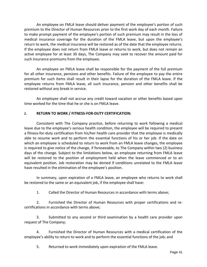An employee on FMLA leave should deliver payment of the employee's portion of such premium to the Director of Human Resources prior to the first work day of each month. Failure to make prompt payment of the employee's portion of such premium may result in the loss of medical insurance coverage for the duration of the FMLA leave, but upon the employee's return to work, the medical insurance will be restored as of the date that the employee returns. If the employee does not return from FMLA leave or returns to work, but does not remain an active employee for at least 30 days, The Company may seek to recover the amount paid for such insurance premiums from the employee.

An employee on FMLA leave shall be responsible for the payment of the full premium for all other insurance, pensions and other benefits. Failure of the employee to pay the entire premium for such items shall result in their lapse for the duration of the FMLA leave. If the employee returns from FMLA leave, all such insurance, pension and other benefits shall be restored without any break in service.

An employee shall not accrue any credit toward vacation or other benefits based upon time worked for the time that he or she is on FMLA leave.

#### **J. RETURN TO WORK / FITNESS-FOR-DUTY CERTIFICATION:**

Consistent with The Company practice, before returning to work following a medical leave due to the employee's serious health condition, the employee will be required to present a fitness-for-duty certification from his/her health care provider that the employee is medically able to resume work and to perform the essential functions of his or her job. If the date on which an employee is scheduled to return to work from an FMLA leave changes, the employee is required to give notice of the change, if foreseeable, to The Company within two (2) business days of the change. Subject to the limitations below, an employee returning from FMLA leave will be restored to the position of employment held when the leave commenced or to an equivalent position. Job restoration may be denied if conditions unrelated to the FMLA leave have resulted in the elimination of the employee's position.

In summary, upon expiration of a FMLA leave, an employee who returns to work shall be restored to the same or an equivalent job, if the employee shall have:

1. Called the Director of Human Resources in accordance with terms above;

2. Furnished the Director of Human Resources with proper certifications and recertifications in accordance with terms above;

3. Submitted to any second or third examination by a health care provider upon request of The Company;

4. Furnished the Director of Human Resources with a medical certification of the employee's ability to return to work and to perform the essential functions of the job; and

5. Returned to work immediately upon expiration of the FMLA leave.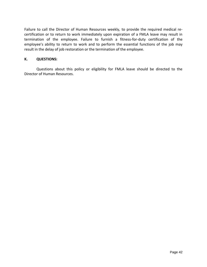Failure to call the Director of Human Resources weekly, to provide the required medical recertification or to return to work immediately upon expiration of a FMLA leave may result in termination of the employee. Failure to furnish a fitness-for-duty certification of the employee's ability to return to work and to perform the essential functions of the job may result in the delay of job restoration or the termination of the employee.

#### **K. QUESTIONS:**

Questions about this policy or eligibility for FMLA leave should be directed to the Director of Human Resources.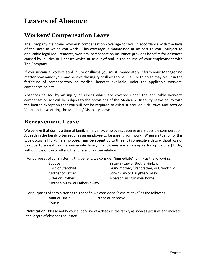### **Workers' Compensation Leave**

The Company maintains workers' compensation coverage for you in accordance with the laws of the state in which you work. This coverage is maintained at no cost to you. Subject to applicable legal requirements, workers' compensation insurance provides benefits for absences caused by injuries or illnesses which arise out of and in the course of your employment with The Company.

If you sustain a work-related injury or illness you must immediately inform your Manager no matter how minor you may believe the injury or illness to be. Failure to do so may result in the forfeiture of compensatory or medical benefits available under the applicable workers' compensation act.

Absences caused by an injury or illness which are covered under the applicable workers' compensation act will be subject to the provisions of the Medical / Disability Leave policy with the limited exception that you will not be required to exhaust accrued Sick Leave and accrued Vacation Leave during the Medical / Disability Leave.

#### **Bereavement Leave**

We believe that during a time of family emergency, employees deserve every possible consideration. A death in the family often requires an employee to be absent from work. When a situation of this type occurs, all full-time employees may be absent up to three (3) consecutive days without loss of pay due to a death in the immediate family. Employees are also eligible for up to one (1) day without loss of pay to attend the funeral of a close relative.

For purposes of administering this benefit, we consider "immediate" family as the following:

Sister or Brother A person living in your home Mother-in-Law or Father-in-Law

Spouse Sister-in-Law or Brother-in-Law Child or Stepchild Grandmother, Grandfather, or Grandchild Mother or Father Son-in-Law or Daughter-in-Law

For purposes of administering this benefit, we consider a "close relative" as the following: Aunt or Uncle Niece or Nephew Cousin

**Notification.** Please notify your supervisor of a death in the family as soon as possible and indicate the length of absence requested.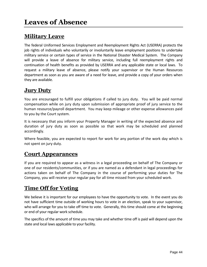### **Military Leave**

The federal Uniformed Services Employment and Reemployment Rights Act (USERRA) protects the job rights of individuals who voluntarily or involuntarily leave employment positions to undertake military service or certain types of service in the National Disaster Medical System. The Company will provide a leave of absence for military service, including full reemployment rights and continuation of health benefits as provided by USERRA and any applicable state or local laws. To request a military leave of absence, please notify your supervisor or the Human Resources department as soon as you are aware of a need for leave, and provide a copy of your orders when they are available.

#### **Jury Duty**

You are encouraged to fulfill your obligations if called to jury duty. You will be paid normal compensation while on jury duty upon submission of appropriate proof of jury service to the human resource/payroll department. You may keep mileage or other expense allowances paid to you by the Court system.

It is necessary that you inform your Property Manager in writing of the expected absence and duration of jury duty as soon as possible so that work may be scheduled and planned accordingly.

Where feasible, you are expected to report for work for any portion of the work day which is not spent on jury duty.

#### **Court Appearances**

If you are required to appear as a witness in a legal proceeding on behalf of The Company or one of our residents/communities, or if you are named as a defendant in legal proceedings for actions taken on behalf of The Company in the course of performing your duties for The Company, you will receive your regular pay for all time missed from your scheduled work.

### **Time Off for Voting**

We believe it is important for our employees to have the opportunity to vote. In the event you do not have sufficient time outside of working hours to vote in an election, speak to your supervisor, who will arrange for you to take off time to vote. Generally, this time should come at the beginning or end of your regular work schedule.

The specifics of the amount of time you may take and whether time off is paid will depend upon the state and local laws applicable to your facility.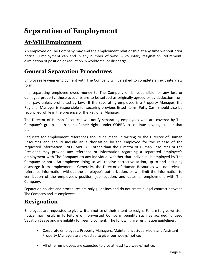# **At-Will Employment**

An employee or The Company may end the employment relationship at any time without prior notice. Employment can end in any number of ways -- voluntary resignation, retirement, elimination of position or reduction in workforce, or discharge.

### **General Separation Procedures**

Employees leaving employment with The Company will be asked to complete an exit interview form.

If a separating employee owes money to The Company or is responsible for any lost or damaged property, those accounts are to be settled as originally agreed or by deduction from final pay, unless prohibited by law. If the separating employee is a Property Manager, the Regional Manager is responsible for securing previous listed items. Petty Cash should also be reconciled while in the presence of the Regional Manager.

The Director of Human Resources will notify separating employees who are covered by The Company's group health plan of their rights under COBRA to continue coverage under that plan.

Requests for employment references should be made in writing to the Director of Human Resources and should include an authorization by the employee for the release of the requested information. NO EMPLOYEE other than the Director of Human Resources or the President may provide any reference or information regarding a separated employee's employment with The Company to any individual whether that individual is employed by The Company or not. An employee doing so will receive corrective action, up to and including discharge from employment. Generally, the Director of Human Resources will not release reference information without the employee's authorization, or will limit the information to verification of the employee's position, job location, and dates of employment with The Company.

Separation policies and procedures are only guidelines and do not create a legal contract between The Company and its employees.

#### **Resignation**

Employees are requested to give written notice of their intent to resign. Failure to give written notice may result in forfeiture of non-vested Company benefits such as accrued, unused Vacation Leave and ineligibility for reemployment. The following are resignation guidelines:

- Corporate employees, Property Managers, Maintenance Supervisors and Assistant Property Managers are expected to give four weeks' notice;
- All other employees are expected to give at least two weeks' notice.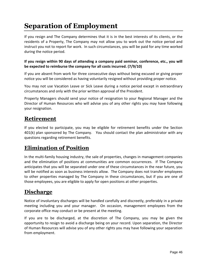# **Separation of Employment**

If you resign and The Company determines that it is in the best interests of its clients, or the residents of a Property, The Company may not allow you to work out the notice period and instruct you not to report for work. In such circumstances, you will be paid for any time worked during the notice period.

#### **If you resign within 90 days of attending a company paid seminar, conference, etc., you will be expected to reimburse the company for all costs incurred. (7/9/10)**

If you are absent from work for three consecutive days without being excused or giving proper notice you will be considered as having voluntarily resigned without providing proper notice.

You may not use Vacation Leave or Sick Leave during a notice period except in extraordinary circumstances and only with the prior written approval of the President.

Property Managers should send your notice of resignation to your Regional Manager and the Director of Human Resources who will advise you of any other rights you may have following your resignation.

#### **Retirement**

If you elected to participate, you may be eligible for retirement benefits under the Section 401(k) plan sponsored by The Company. You should contact the plan administrator with any questions regarding retirement benefits.

### **Elimination of Position**

In the multi-family housing industry, the sale of properties, changes in management companies and the elimination of positions at communities are common occurrences. If The Company anticipates that you will be separated under one of these circumstances in the near future, you will be notified as soon as business interests allow. The Company does not transfer employees to other properties managed by The Company in these circumstances, but if you are one of those employees, you are eligible to apply for open positions at other properties.

### **Discharge**

Notice of involuntary discharges will be handled carefully and discreetly, preferably in a private meeting including you and your manager. On occasion, management employees from the corporate office may conduct or be present at the meeting.

If you are to be discharged, at the discretion of The Company, you may be given the opportunity to resign to avoid a discharge being on your record. Upon separation, the Director of Human Resources will advise you of any other rights you may have following your separation from employment.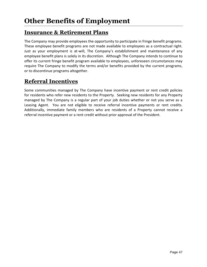### **Insurance & Retirement Plans**

The Company may provide employees the opportunity to participate in fringe benefit programs. These employee benefit programs are not made available to employees as a contractual right. Just as your employment is at-will, The Company's establishment and maintenance of any employee benefit plans is solely in its discretion. Although The Company intends to continue to offer its current fringe benefit program available to employees, unforeseen circumstances may require The Company to modify the terms and/or benefits provided by the current programs, or to discontinue programs altogether.

# **Referral Incentives**

Some communities managed by The Company have incentive payment or rent credit policies for residents who refer new residents to the Property. Seeking new residents for any Property managed by The Company is a regular part of your job duties whether or not you serve as a Leasing Agent. You are not eligible to receive referral incentive payments or rent credits. Additionally, immediate family members who are residents of a Property cannot receive a referral incentive payment or a rent credit without prior approval of the President.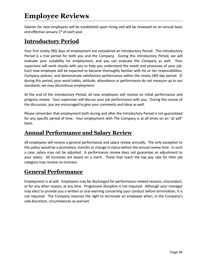# **Employee Reviews**

Salaries for new employees will be established upon hiring and will be reviewed on an annual basis and effective January  $1^\text{st}$  of each year.

#### **Introductory Period**

Your first ninety (90) days of employment are considered an Introductory Period. This Introductory Period is a trial period for both you and the Company. During this Introductory Period, we will evaluate your suitability for employment, and you can evaluate the Company as well. Your supervisor will work closely with you to help you understand the needs and processes of your job. Each new employee will be expected to become thoroughly familiar with his or her responsibilities, Company policies, and demonstrate satisfactory performance within the ninety (90) day period. If, during this period, your work habits, attitude, attendance or performance do not measure up to our standards, we may discontinue employment.

At the end of the Introductory Period, all new employees will receive an initial performance and progress review. Your supervisor will discuss your job performance with you. During the course of the discussion, you are encouraged to give your comments and ideas as well.

Please remember that employment both during and after the Introductory Period is not guaranteed for any specific period of time. Your employment with The Company is at all times on an "at will" basis.

#### **Annual Performance and Salary Review**

All employees will receive a general performance and salary review annually. The only exception to this policy would be a promotion, transfer or change in status before the annual review time. In such a case, salary may not be adjusted. A performance review does not guarantee an adjustment to your salary. All increases are based on a merit. Those that reach the top pay rate for their job category may receive no increase.

### **General Performance**

Employment is at-will. Employees may be discharged for performance-related reasons, misconduct, or for any other reason, at any time. Progressive discipline is not required. Although your manager may elect to provide you a written or oral warning concerning your conduct before termination, it is not required. The Company reserves the right to terminate an employee when, in the Company's sole discretion, circumstances so warrant.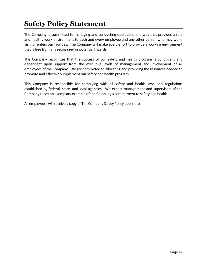# **Safety Policy Statement**

The Company is committed to managing and conducting operations in a way that provides a safe and healthy work environment to each and every employee and any other person who may work, visit, or enters our facilities. The Company will make every effort to provide a working environment that is free from any recognized or potential hazards.

The Company recognizes that the success of our safety and health program is contingent and dependent upon support from the executive levels of management and involvement of all employees of the Company. We are committed to allocating and providing the resources needed to promote and effectively implement our safety and health program.

This Company is responsible for complying with all safety and health laws and regulations established by federal, state, and local agencies. We expect management and supervisors of the Company to set an exemplary example of the Company's commitment to safety and health.

All employees' will receive a copy of The Company Safety Policy upon hire.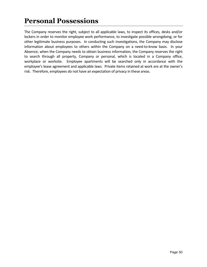# **Personal Possessions**

The Company reserves the right, subject to all applicable laws, to inspect its offices, desks and/or lockers in order to monitor employee work performance, to investigate possible wrongdoing, or for other legitimate business purposes. In conducting such investigations, the Company may disclose information about employees to others within the Company on a need-to-know basis. In your Absence, when the Company needs to obtain business information, the Company reserves the right to search through all property, Company or personal, which is located in a Company office, workplace or worksite. Employee apartments will be searched only in accordance with the employee's lease agreement and applicable laws. Private items retained at work are at the owner's risk. Therefore, employees do not have an expectation of privacy in these areas.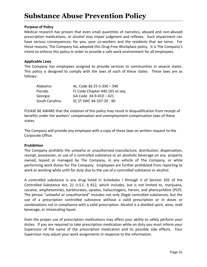# **Substance Abuse Prevention Policy**

#### **Purpose of Policy**

Medical research has proven that even small quantities of narcotics, abused and non-abused prescription medications, or alcohol may impair judgment and reflexes. Such impairment can have serious consequences, for you, your co-workers and the residents that we serve. For these reasons, The Company has adopted this Drug-Free Workplace policy. It is The Company's intent to enforce this policy in order to provide a safe work environment for all employees.

#### **Applicable Laws**

The Company has employees assigned to provide services to communities in several states. This policy is designed to comply with the laws of each of these states. These laws are as follows:

| Alabama:        | AL. Code §§ 25-5-330 - 340      |
|-----------------|---------------------------------|
| Florida:        | FL Code Chapter 440.101 et seq. |
| Georgia:        | GA Code 34-9-410 - 421          |
| South Carolina: | SC ST SWC 44-107-20 - 90        |

PLEASE BE AWARE that the violation of this policy may result in disqualification from receipt of benefits under the workers' compensation and unemployment compensation laws of these states.

The Company will provide any employee with a copy of these laws on written request to the Corporate Office.

#### **Prohibition**

The Company prohibits the unlawful or unauthorized manufacture, distribution, dispensation, receipt, possession, or use of a controlled substance or an alcoholic beverage on any property owned, leased or managed by The Company, in any vehicle of The Company, or while performing work duties for The Company. Employees are further prohibited from reporting to work or working while unfit for duty due to the use of a controlled substance or alcohol.

A controlled substance is any drug listed in Schedules I through V of Section 202 of the Controlled Substance Act, 21 U.S.C. § 812, which includes, but is not limited to, marijuana, cocaine, amphetamines, barbiturates, opiates, hallucinogens, heroin, and phencyclidine (PCP). The phrase "unlawful or unauthorized" includes not only illegal controlled substances, but the use of a prescription controlled substance without a valid prescription or in doses or combinations not in compliance with a valid prescription. Alcohol is a distilled spirit, wine, malt beverage, or intoxicating liquor.

Even the proper use of prescription medications may affect your ability to safely perform your duties. If you are required to take prescription medication while on duty you must inform your Supervisor of the name of the prescription medication and its possible side effects. Your Supervisor may adjust your work assignments in response to the information.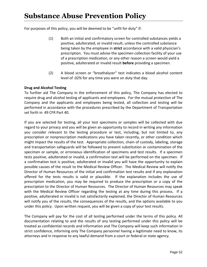For purposes of this policy, you will be deemed to be "unfit for duty" if:

- (1) Both an initial and confirmatory screen for controlled substances yields a positive, adulterated, or invalid result, unless the controlled substance being taken by the employee in **strict** accordance with a valid physician's prescription. You must advise the specimen collection facility of your use of a prescription medication, or any other reason a screen would yield a positive, adulterated or invalid result **before** providing a specimen.
- (2) A blood screen or "breathalyzer" test indicates a blood alcohol content level of .02% for any time you were on duty that day.

#### **Drug and Alcohol Testing**

To further aid The Company in the enforcement of this policy, The Company has elected to require drug and alcohol testing of applicants and employees. For the mutual protection of The Company and the applicants and employees being tested, all collection and testing will be performed in accordance with the procedures prescribed by the Department of Transportation set forth in 49 CFR Part 40.

If you are selected for testing, all your test specimens or samples will be collected with due regard to your privacy and you will be given an opportunity to record in writing any information you consider relevant to the testing procedure or test, including, but not limited to, any prescription or nonprescription medications you have taken recently, or other condition which might impact the results of the test. Appropriate collection, chain of custody, labeling, storage and transportation safeguards will be followed to prevent substitution or contamination of the specimen or sample, or erroneous identification of specimens and test results. If a specimen tests positive, adulterated or invalid, a confirmation test will be performed on the specimen. If a confirmation test is positive, adulterated or invalid you will have the opportunity to explain possible causes of the result to the Medical Review Officer. The Medical Review will notify the Director of Human Resources of the initial and confirmation test results and if any explanation offered for the tests results is valid or plausible. If the explanation includes the use of prescription medication, you may be required to produce the prescription or a copy of the prescription to the Director of Human Resources. The Director of Human Resources may speak with the Medical Review Officer regarding the testing at any time during this process. If a positive, adulterated or invalid is not satisfactorily explained, the Director of Human Resources will notify you of the results, the consequences of the results, and the options available to you under this policy. Upon written request, you will be given a copy of your test results.

The Company will pay for the cost of all testing performed under the terms of this policy. All documentation relating to and the results of any testing performed under this policy will be treated as confidential records and information and The Company will keep such information in strict confidence, informing only The Company personnel having a legitimate need to know, its attorneys and in response to any lawful demand from a court or federal or state agency.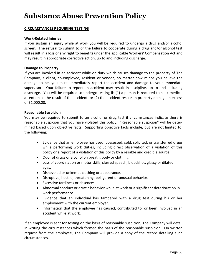#### **CIRCUMSTANCES REQUIRING TESTING**

#### **Work-Related Injuries**

If you sustain an injury while at work you will be required to undergo a drug and/or alcohol screen. The refusal to submit to or the failure to cooperate during a drug and/or alcohol test will result in a loss of any right to benefits under the applicable Workers' Compensation Act and may result in appropriate corrective action, up to and including discharge.

#### **Damage to Property**

If you are involved in an accident while on duty which causes damage to the property of The Company, a client, co-employee, resident or vendor, no matter how minor you believe the damage to be, you must immediately report the accident and damage to your immediate supervisor. Your failure to report an accident may result in discipline, up to and including discharge. You will be required to undergo testing if: (1) a person is required to seek medical attention as the result of the accident; or (2) the accident results in property damage in excess of \$1,000.00.

#### **Reasonable Suspicion**

You may be required to submit to an alcohol or drug test if circumstances indicate there is reasonable suspicion that you have violated this policy. "Reasonable suspicion" will be determined based upon objective facts. Supporting objective facts include, but are not limited to, the following:

- Evidence that an employee has used, possessed, sold, solicited, or transferred drugs while performing work duties, including direct observation of a violation of this policy or a report of a violation of this policy by a reliable and credible source.
- Odor of drugs or alcohol on breath, body or clothing.
- Loss of coordination or motor skills, slurred speech, bloodshot, glassy or dilated eyes.
- Disheveled or unkempt clothing or appearance.
- Disruptive, hostile, threatening, belligerent or unusual behavior.
- Excessive tardiness or absences.
- Abnormal conduct or erratic behavior while at work or a significant deterioration in work performance.
- Evidence that an individual has tampered with a drug test during his or her employment with the current employer.
- Information that the employee has caused, contributed to, or been involved in an accident while at work.

If an employee is sent for testing on the basis of reasonable suspicion, The Company will detail in writing the circumstances which formed the basis of the reasonable suspicion. On written request from the employee, The Company will provide a copy of the record detailing such circumstances.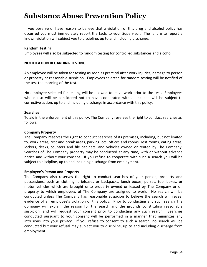# **Substance Abuse Prevention Policy**

If you observe or have reason to believe that a violation of this drug and alcohol policy has occurred you must immediately report the facts to your Supervisor. The failure to report a known violation will subject you to discipline, up to and including discharge.

#### **Random Testing**

Employees will also be subjected to random testing for controlled substances and alcohol.

#### **NOTIFICATION REGARDING TESTING**

An employee will be taken for testing as soon as practical after work injuries, damage to person or property or reasonable suspicion. Employees selected for random testing will be notified of the test the morning of the test.

No employee selected for testing will be allowed to leave work prior to the test. Employees who do so will be considered not to have cooperated with a test and will be subject to corrective action, up to and including discharge in accordance with this policy.

#### **Searches**

To aid in the enforcement of this policy, The Company reserves the right to conduct searches as follows:

#### **Company Property**

The Company reserves the right to conduct searches of its premises, including, but not limited to, work areas, rest and break areas, parking lots, offices and rooms, rest rooms, eating areas, lockers, desks, counters and file cabinets, and vehicles owned or rented by The Company. Searches of The Company property may be conducted at any time, with or without advance notice and without your consent. If you refuse to cooperate with such a search you will be subject to discipline, up to and including discharge from employment.

#### **Employee's Person and Property**

The Company also reserves the right to conduct searches of your person, property and possessions, such as clothing, briefcases or backpacks, lunch boxes, purses, tool boxes, or motor vehicles which are brought onto property owned or leased by The Company or on property to which employees of The Company are assigned to work. No search will be conducted unless The Company has reasonable suspicion to believe the search will reveal evidence of an employee's violation of this policy. Prior to conducting any such search The Company will explain the reason for the search and the grounds constituting reasonable suspicion, and will request your consent prior to conducting any such search. Searches conducted pursuant to your consent will be performed in a manner that minimizes any intrusions into your privacy. If you refuse to consent to such a search, no search will be conducted but your refusal may subject you to discipline, up to and including discharge from employment.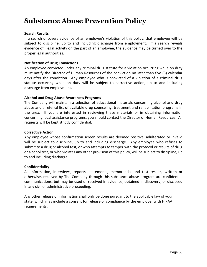# **Substance Abuse Prevention Policy**

#### **Search Results**

If a search uncovers evidence of an employee's violation of this policy, that employee will be subject to discipline, up to and including discharge from employment. If a search reveals evidence of illegal activity on the part of an employee, the evidence may be turned over to the proper legal authorities.

#### **Notification of Drug Convictions**

An employee convicted under any criminal drug statute for a violation occurring while on duty must notify the Director of Human Resources of the conviction no later than five (5) calendar days after the conviction. Any employee who is convicted of a violation of a criminal drug statute occurring while on duty will be subject to corrective action, up to and including discharge from employment.

#### **Alcohol and Drug Abuse Awareness Programs**

The Company will maintain a selection of educational materials concerning alcohol and drug abuse and a referral list of available drug counseling, treatment and rehabilitation programs in the area. If you are interested in reviewing these materials or in obtaining information concerning local assistance programs, you should contact the Director of Human Resources. All requests will be kept strictly confidential.

#### **Corrective Action**

Any employee whose confirmation screen results are deemed positive, adulterated or invalid will be subject to discipline, up to and including discharge. Any employee who refuses to submit to a drug or alcohol test, or who attempts to tamper with the protocol or results of drug or alcohol test, or who violates any other provision of this policy, will be subject to discipline, up to and including discharge.

#### **Confidentiality**

All information, interviews, reports, statements, memoranda, and test results, written or otherwise, received by The Company through this substance abuse program are confidential communications, but may be used or received in evidence, obtained in discovery, or disclosed in any civil or administrative proceeding.

Any other release of information shall only be done pursuant to the applicable law of your state, which may include a consent for release or compliance by the employer with HIPAA requirements.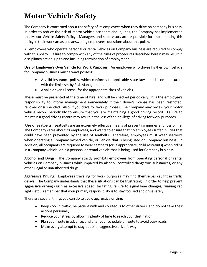# **Motor Vehicle Safety**

The Company is concerned about the safety of its employees when they drive on company business. In order to reduce the risk of motor vehicle accidents and injuries, the Company has implemented this Motor Vehicle Safety Policy. Managers and supervisors are responsible for implementing this policy in their work areas and answering employees' questions about this policy.

All employees who operate personal or rental vehicles on Company business are required to comply with this policy. Failure to comply with any of the rules of procedures described herein may result in disciplinary action, up to and including termination of employment.

**Use of Employee's Own Vehicle for Work Purposes.** An employee who drives his/her own vehicle for Company business must always possess:

- A valid insurance policy, which conforms to applicable state laws and is commensurate with the limits set by Risk Management.
- A valid driver's license (for the appropriate class of vehicle).

These must be presented at the time of hire, and will be checked periodically. It is the employee's responsibility to inform management immediately if their driver's license has been restricted, revoked or suspended. Also, if you drive for work purposes, The Company may review your motor vehicle record periodically to ensure that you are maintaining a good driving record. Failure to maintain a good driving record may result in the loss of the privilege of driving for work purposes.

**Use of Seatbelts.** Seatbelts are an extremely effective means of preventing injuries and loss of life. The Company cares about its employees, and wants to ensure that no employees suffer injuries that could have been prevented by the use of seatbelts. Therefore, employees must wear seatbelts when operating a Company owned vehicle, or vehicle that is being used on Company business. In addition, all occupants are required to wear seatbelts (or, if appropriate, child restraints) when riding in a Company vehicle, or in a personal or rental vehicle that is being used for Company business.

**Alcohol and Drugs.** The Company strictly prohibits employees from operating personal or rental vehicles on Company business while impaired by alcohol, controlled dangerous substances, or any other illegal or unauthorized drugs.

**Aggressive Driving.** Employees traveling for work purposes may find themselves caught in traffic delays. The Company understands that these situations can be frustrating. In order to help prevent aggressive driving (such as excessive speed, tailgating, failure to signal lane changes, running red lights, etc.), remember that your primary responsibility is to stay focused and drive safely.

There are several things you can do to avoid aggressive driving:

- Keep cool in traffic, be patient with and courteous to other drivers, and do not take their actions personally.
- Reduce your stress by allowing plenty of time to reach your destination.
- Plan your route in advance, and alter your schedule or route to avoid busy roads.
- Make every attempt to stay out of an aggressive driver's way.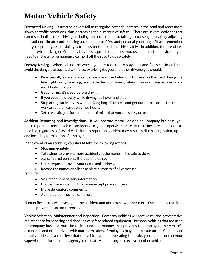# **Motor Vehicle Safety**

**Distracted Driving.** Distracted drivers fail to recognize potential hazards in the road and react more slowly to traffic conditions, thus decreasing their "margin of safety." There are several activities that can result in distracted driving, including, but not limited to, talking to passengers, eating, adjusting the radio or climate control, using a cell phone or PDA, and personal grooming. Please remember that your primary responsibility is to focus on the road and drive safely. In addition, the use of cell phones while driving on Company business is prohibited, unless you use a hands-free device. If you need to make a non-emergency call, pull off the road to do so safely.

**Drowsy Driving.** When behind the wheel, you are required to stay alert and focused. In order to avoid the dangers associated with drowsy driving (by you and other drivers) you should:

- Be especially aware of your behavior and the behavior of others on the road during the late night, early morning, and mid-afternoon hours, when drowsy driving accidents are most likely to occur.
- Get a full night's sleep before driving.
- If you become drowsy while driving, pull over and stop.
- Stop at regular intervals when driving long distances, and get out of the car to stretch and walk around at least every two hours.
- Set a realistic goal for the number of miles that you can safely drive.

**Accident Reporting and Investigations.** If you operate motor vehicles on Company business, you must report all motor vehicle accidents to your supervisor or to Human Resources as soon as possible, regardless of severity. Failure to report an accident may result in disciplinary action, up to and including termination of employment.

In the event of an accident, you should take the following actions:

- Stop immediately.
- Take steps to prevent more accidents at the scene, if it is safe to do so.
- Assist injured persons, if it is safe to do so.
- Upon request, provide your name and address.
- Record the names and license plate numbers of all witnesses.

DO NOT:

- Volunteer unnecessary information.
- Discuss the accident with anyone except police officers.
- Make derogatory comments.
- Admit fault or mechanical failure.

Human Resources will investigate the accident and determine whether corrective action is required to help prevent future occurrences.

**Vehicle Selection, Maintenance and Inspection**. Company Vehicles will receive routine preventative maintenance for servicing and checking of safety-related equipment. Personal vehicles that are used for company business must be maintained in a manner that provides the employee, the vehicle's occupants, and other drivers with maximum safety. Employees may not operate unsafe Company or rental vehicles. If you believe that the vehicle you are operating is unsafe, you should contact your supervisor and/or the rental agency immediately and arrange to receive another vehicle.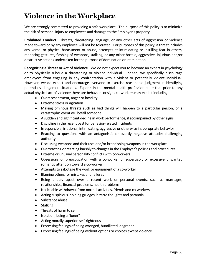# **Violence in the Workplace**

We are strongly committed to providing a safe workplace. The purpose of this policy is to minimize the risk of personal injury to employees and damage to the Employer's property.

**Prohibited Conduct.** Threats, threatening language, or any other acts of aggression or violence made toward or by any employee will not be tolerated. For purposes of this policy, a threat includes any verbal or physical harassment or abuse, attempts at intimidating or instilling fear in others, menacing gestures, flashing of weapons, stalking, or any other hostile, aggressive, injurious and/or destructive actions undertaken for the purpose of domination or intimidation.

**Recognizing a Threat or Act of Violence**. We do not expect you to become an expert in psychology or to physically subdue a threatening or violent individual. Indeed, we specifically discourage employees from engaging in any confrontation with a violent or potentially violent individual. However, we do expect and encourage everyone to exercise reasonable judgment in identifying potentially dangerous situations. Experts in the mental health profession state that prior to any actual physical act of violence there are behaviors or signs co-workers may exhibit including:

- Overt resentment, anger or hostility
- Extreme stress or agitation
- Making ominous threats such as bad things will happen to a particular person, or a catastrophic event will befall someone
- A sudden and significant decline in work performance, if accompanied by other signs
- Discipline in the recent past for behavior-related incidents
- Irresponsible, irrational, intimidating, aggressive or otherwise inappropriate behavior
- Reacting to questions with an antagonistic or overtly negative attitude; challenging authority
- Discussing weapons and their use, and/or brandishing weapons in the workplace
- Overreacting or reacting harshly to changes in the Employer's policies and procedures
- Extreme or unusual personality conflicts with co-workers
- Obsessions or preoccupation with a co-worker or supervisor, or excessive unwanted romantic attention toward a co-worker
- Attempts to sabotage the work or equipment of a co-worker
- Blaming others for mistakes and failures
- Being unduly upset over a recent work or personal events, such as marriages, relationships, financial problems, health problems
- Noticeable withdrawal from normal activities, friends and co-workers
- Acting suspicious, holding grudges, bizarre thoughts and paranoia
- Substance abuse
- Stalking
- Threats of harm to self
- Isolation, being a "loner"
- Acting morally superior, self-righteous
- Expressing feelings of being wronged, humiliated, degraded
- Expressing feelings of being without options or choices except violence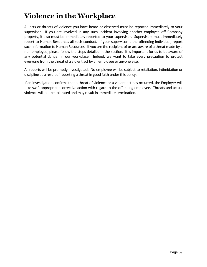# **Violence in the Workplace**

All acts or threats of violence you have heard or observed must be reported immediately to your supervisor. If you are involved in any such incident involving another employee off Company property, it also must be immediately reported to your supervisor. Supervisors must immediately report to Human Resources all such conduct. If your supervisor is the offending individual, report such information to Human Resources. If you are the recipient of or are aware of a threat made by a non-employee, please follow the steps detailed in the section. It is important for us to be aware of any potential danger in our workplace. Indeed, we want to take every precaution to protect everyone from the threat of a violent act by an employee or anyone else.

All reports will be promptly investigated. No employee will be subject to retaliation, intimidation or discipline as a result of reporting a threat in good faith under this policy.

If an investigation confirms that a threat of violence or a violent act has occurred, the Employer will take swift appropriate corrective action with regard to the offending employee. Threats and actual violence will not be tolerated and may result in immediate termination.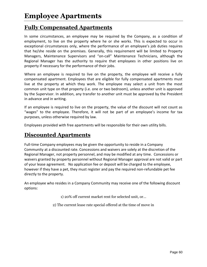#### **Fully Compensated Apartments**

In some circumstances, an employee may be required by the Company, as a condition of employment, to live on the property where he or she works. This is expected to occur in exceptional circumstances only, where the performance of an employee's job duties requires that he/she reside on the premises. Generally, this requirement will be limited to Property Managers, Maintenance Supervisors and "on-call" Maintenance Technicians, although the Regional Manager has the authority to require that employees in other positions live on property if necessary for the performance of their jobs.

Where an employee is required to live on the property, the employee will receive a fully compensated apartment. Employees that are eligible for fully compensated apartments must live at the property at which they work. The employee may select a unit from the most common unit type on that property (i.e. one or two bedroom), unless another unit is approved by the Supervisor. In addition, any transfer to another unit must be approved by the President in advance and in writing.

If an employee is required to live on the property, the value of the discount will not count as "wages" to the employee. Therefore, it will not be part of an employee's income for tax purposes, unless otherwise required by law.

Employees provided with free apartments will be responsible for their own utility bills.

### **Discounted Apartments**

Full-time Company employees may be given the opportunity to reside in a Company Community at a discounted rate. Concessions and waivers are solely at the discretion of the Regional Manager, not property personnel, and may be modified at any time. Concessions or waivers granted by property personnel without Regional Manager approval are not valid or part of your lease agreement. No application fee or deposit will be charged to the employee, however if they have a pet, they must register and pay the required non-refundable pet fee directly to the property.

An employee who resides in a Company Community may receive one of the following discount options:

1) 20% off current market rent for selected unit, or…

2) The current lease rate special offered at the time of move in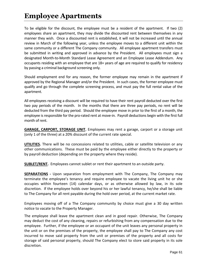# **Employee Apartments**

To be eligible for the discount, the employee must be a resident of the apartment. If two (2) employees share an apartment, they may divide the discounted rent between themselves in any manner they wish. Once a discounted rent is established, it will not be increased until the annual review in March of the following year, unless the employee moves to a different unit within the same community or a different The Company community. All employee apartment transfers must be submitted in writing and approved in advance by the President. All employees must sign a designated Month-to-Month Standard Lease Agreement and an Employee Lease Addendum. Any occupants residing with an employee that are 18+ years of age are required to qualify for residency by passing a criminal background screening only.

Should employment end for any reason, the former employee may remain in the apartment if approved by the Regional Manager and/or the President. In such cases, the former employee must qualify and go through the complete screening process, and must pay the full rental value of the apartment.

All employees receiving a discount will be required to have their rent payroll deducted over the first two pay periods of the month. In the months that there are three pay periods, no rent will be deducted from the third pay period. Should the employee move in prior to the first of a month, the employee is responsible for the pro-rated rent at move-in. Payroll deductions begin with the first full month of rent.

**GARAGE, CARPORT, STORAGE UNIT.** Employees may rent a garage, carport or a storage unit (only 1 of the three) at a 20% discount of the current rate special.

**UTILITIES.** There will be no concessions related to utilities, cable or satellite television or any other communications. These must be paid by the employee either directly to the property or by payroll deduction (depending on the property where they reside).

**SUBLET/RENT.** Employees cannot sublet or rent their apartment to an outside party.

**SEPARATIONS -** Upon separation from employment with The Company, The Company may terminate the employee's tenancy and require employee to vacate the living unit he or she occupies within fourteen (14) calendar days, or as otherwise allowed by law, in its sole discretion. If the employee holds over beyond his or her lawful tenancy, he/she shall be liable to The Company for all rent payable during the hold over period, at the current market rate.

Employees moving off of a The Company community by choice must give a 30 day written notice to vacate to the Property Manager.

The employee shall leave the apartment clean and in good repair. Otherwise, The Company may deduct the cost of any cleaning, repairs or refurbishing from any compensation due to the employee. Further, if the employee or an occupant of the unit leaves any personal property in the unit or on the premises of the property, the employee shall pay to The Company any cost incurred to move said property from the unit or premises of the property and all costs for storage of said personal property, should The Company elect to store said property in its sole discretion.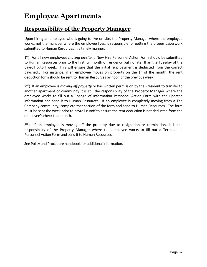### **Responsibility of the Property Manager**

Upon hiring an employee who is going to live on-site, the Property Manager where the employee works, not the manager where the employee lives, is responsible for getting the proper paperwork submitted to Human Resources in a timely manner.

1 st) For all new employees *moving on-site*, a New Hire Personnel Action Form should be submitted to Human Resources prior to the first full month of residency but no later than the Tuesday of the payroll cutoff week. This will ensure that the initial rent payment is deducted from the correct paycheck. For instance, if an employee moves on property on the  $1<sup>st</sup>$  of the month, the rent deduction form should be sent to Human Resources by noon of the previous week.

2 nd) If an employee is *moving off property* or has written permission by the President to transfer to another apartment or community it is still the responsibility of the Property Manager where the employee works to fill out a Change of Information Personnel Action Form with the updated information and send it to Human Resources. If an employee is completely moving from a The Company community, complete that section of the form and send to Human Resources. The form must be sent the week prior to payroll cutoff to ensure the rent deduction is not deducted from the employee's check that month.

3<sup>rd</sup>) If an employee is moving off the property due to resignation or termination, it is the responsibility of the Property Manager where the employee works to fill out a Termination Personnel Action Form and send it to Human Resources.

See Policy and Procedure handbook for additional information.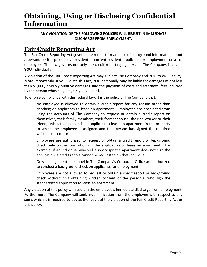# **Obtaining, Using or Disclosing Confidential Information**

#### **ANY VIOLATION OF THE FOLLOWING POLICIES WILL RESULT IN IMMEDIATE DISCHARGE FROM EMPLOYMENT.**

### **Fair Credit Reporting Act**

The Fair Credit Reporting Act governs the request for and use of background information about a person, be it a prospective resident, a current resident, applicant for employment or a coemployee. The law governs not only the credit reporting agency and The Company, it covers **YOU** individually.

A violation of the Fair Credit Reporting Act may subject The Company and YOU to civil liability. More importantly, if you violate this act, YOU personally may be liable for damages of not less than \$1,000, possibly punitive damages, and the payment of costs and attorneys' fees incurred by the person whose legal rights you violated.

To ensure compliance with this federal law, it is the policy of The Company that:

No employee is allowed to obtain a credit report for any reason other than checking on applicants to lease an apartment. Employees are prohibited from using the accounts of The Company to request or obtain a credit report on themselves, their family members, their former spouse, their co-worker or their friend, unless that person is an applicant to lease an apartment in the property to which the employee is assigned and that person has signed the required written consent form.

Employees are authorized to request or obtain a credit report or background check **only** on persons who sign the application to lease an apartment. For example, if an individual who will also occupy the apartment does not sign the application, a credit report cannot be requested on that individual.

Only management personnel in The Company's Corporate Office are authorized to conduct a background check on applicants for employment.

Employees are not allowed to request or obtain a credit report or background check without first obtaining written consent of the person(s) who sign the standardized application to lease an apartment.

Any violation of this policy will result in the employee's immediate discharge from employment. Furthermore, The Company will seek indemnification from the employee with respect to any sums which it is required to pay as the result of the violation of the Fair Credit Reporting Act or this policy.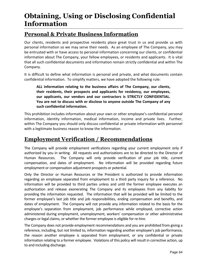# **Obtaining, Using or Disclosing Confidential Information**

### **Personal & Private Business Information**

Our clients, residents and prospective residents place great trust in us and provide us with personal information so we may serve their needs. As an employee of The Company, you may be entrusted with or have access to personal information concerning our clients, or confidential information about The Company, your fellow employees, or residents and applicants. It is vital that all such confidential documents and information remain strictly confidential and within The Company.

It is difficult to define what information is personal and private, and what documents contain confidential information. To simplify matters, we have adopted the following rule:

**ALL information relating to the business affairs of The Company, our clients, their residents, their prospects and applicants for residency, our employees, our applicants, our vendors and our contractors is STRICTLY CONFIDENTIAL. You are not to discuss with or disclose to anyone outside The Company of any such confidential information.** 

This prohibition includes information about your own or other employee's confidential personal information, identity information, medical information, income and private lives. Further, within The Company you should only discuss confidential or private information with personnel with a legitimate business reason to know the information.

# **Employment Verification / Recommendations**

The Company will provide employment verifications regarding your current employment only if authorized by you in writing. All requests and authorizations are to be directed to the Director of Human Resources. The Company will only provide verification of your job title, current compensation, and dates of employment. No information will be provided regarding future employment or compensation adjustment prospects or potential.

Only the Director or Human Resources or the President is authorized to provide information regarding an employee separated from employment to a third party inquiry for a reference. No information will be provided to third parties unless and until the former employee executes an authorization and release exonerating The Company and its employees from any liability for providing the information requested. The information that will be provided will be limited to the former employee's last job title and job responsibilities, ending compensation and benefits, and dates of employment. The Company will not provide any information related to the basis for the employee's separation from employment, job performance while employed, corrective action administered during employment, unemployment, workers' compensation or other administrative charges or legal claims, or whether the former employee is eligible for re-hire.

The Company does not provide employment recommendations and you are prohibited from giving a reference, including, but not limited to, information regarding another employee's job performance, the reason another employee is separated from employment, or any confidential or private information relating to a former employee. Violations of this policy will result in corrective action, up to and including discharge.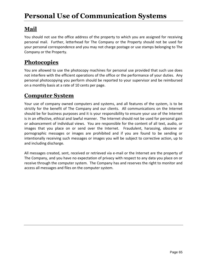# **Mail**

You should not use the office address of the property to which you are assigned for receiving personal mail. Further, letterhead for The Company or the Property should not be used for your personal correspondence and you may not charge postage or use stamps belonging to The Company or the Property.

### **Photocopies**

You are allowed to use the photocopy machines for personal use provided that such use does not interfere with the efficient operations of the office or the performance of your duties. Any personal photocopying you perform should be reported to your supervisor and be reimbursed on a monthly basis at a rate of 10 cents per page.

### **Computer System**

Your use of company owned computers and systems, and all features of the system, is to be strictly for the benefit of The Company and our clients. All communications on the Internet should be for business purposes and it is your responsibility to ensure your use of the Internet is in an effective, ethical and lawful manner. The Internet should not be used for personal gain or advancement of individual views. You are responsible for the content of all text, audio, or images that you place on or send over the Internet. Fraudulent, harassing, obscene or pornographic messages or images are prohibited and if you are found to be sending or intentionally receiving such messages or images you will be subject to corrective action, up to and including discharge.

All messages created, sent, received or retrieved via e-mail or the Internet are the property of The Company, and you have no expectation of privacy with respect to any data you place on or receive through the computer system. The Company has and reserves the right to monitor and access all messages and files on the computer system.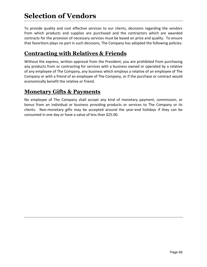# **Selection of Vendors**

To provide quality and cost effective services to our clients, decisions regarding the vendors from which products and supplies are purchased and the contractors which are awarded contracts for the provision of necessary services must be based on price and quality. To ensure that favoritism plays no part in such decisions, The Company has adopted the following policies:

### **Contracting with Relatives & Friends**

Without the express, written approval from the President, you are prohibited from purchasing any products from or contracting for services with a business owned or operated by a relative of any employee of The Company, any business which employs a relative of an employee of The Company or with a friend of an employee of The Company, or if the purchase or contract would economically benefit the relative or friend.

#### **Monetary Gifts & Payments**

No employee of The Company shall accept any kind of monetary payment, commission, or bonus from an individual or business providing products or services to The Company or its clients. Non-monetary gifts may be accepted around the year-end holidays if they can be consumed in one day or have a value of less than \$25.00.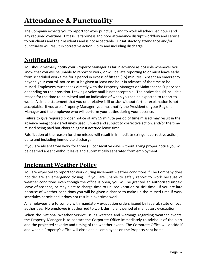# **Attendance & Punctuality**

The Company expects you to report for work punctually and to work all scheduled hours and any required overtime. Excessive tardiness and poor attendance disrupt workflow and service to our clients and their residents and is not acceptable. Unsatisfactory attendance and/or punctuality will result in corrective action, up to and including discharge.

# **Notification**

You should verbally notify your Property Manager as far in advance as possible whenever you know that you will be unable to report to work, or will be late reporting to or must leave early from scheduled work time for a period in excess of fifteen (15) minutes. Absent an emergency beyond your control, notice must be given at least one hour in advance of the time to be missed. Employees must speak directly with the Property Manager or Maintenance Supervisor, depending on their position. Leaving a voice mail is not acceptable. The notice should include a reason for the time to be missed and an indication of when you can be expected to report to work. A simple statement that you or a relative is ill or sick without further explanation is not acceptable. If you are a Property Manager, you must notify the President or your Regional Manager and the employee who will perform your duties during your absence.

Failure to give required proper notice of any 15 minute period of time missed may result in the absence being considered unexcused, unpaid and subject to corrective action, and/or the time missed being paid but charged against accrued leave time.

Falsification of the reason for time missed will result in immediate stringent corrective action, up to and including immediate discharge.

If you are absent from work for three (3) consecutive days without giving proper notice you will be deemed absent without leave and automatically separated from employment.

# **Inclement Weather Policy**

You are expected to report for work during inclement weather conditions if The Company does not declare an emergency closing. If you are unable to safely report to work because of weather conditions even though the office is open, you will be granted an authorized unpaid leave of absence, or may elect to charge time to unused vacation or sick time. If you are late because of weather conditions you will be given a chance to make up the missed time if work schedules permit and it does not result in overtime work.

All employees are to comply with mandatory evacuation orders issued by federal, state or local authorities. No employee is authorized to work during any period of mandatory evacuation.

When the National Weather Service issues watches and warnings regarding weather events, the Property Manager is to contact the Corporate Office immediately to advise it of the alert and the projected severity and timing of the weather event. The Corporate Office will decide if and when a Property's office will close and all employees on the Property sent home.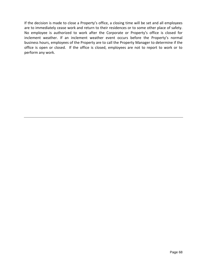If the decision is made to close a Property's office, a closing time will be set and all employees are to immediately cease work and return to their residences or to some other place of safety. No employee is authorized to work after the Corporate or Property's office is closed for inclement weather. If an inclement weather event occurs before the Property's normal business hours, employees of the Property are to call the Property Manager to determine if the office is open or closed. If the office is closed, employees are not to report to work or to perform any work.